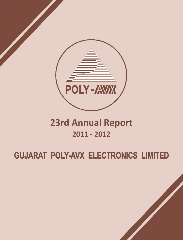

## **23rd Annual Report**  $2011 - 2012$

# **GUJARAT POLY-AVX ELECTRONICS LIMITED**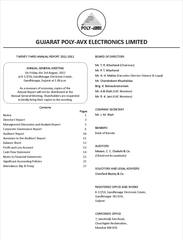

## TWENTY THIRD ANNUAL REPORT 2011-2012

## ANNUAL GENERAL MEETING

On Friday, the 3rd August, 2012 at B-17/18, Gandhinagar Electronic Estate, Gandhinagar, Gujarat at 1.00 p.m.

As a measure of economy, copies of the Annual Report will not be distributed at the Annual General Meeting. Shareholders are requested to kindly bring their copies to the meeting.

## Contents

|                                                  | Pages |
|--------------------------------------------------|-------|
| Notice                                           | 1     |
| Directors' Report                                | 3     |
| <b>Management Discussion and Analysis Report</b> | 5     |
| Corporate Governance Report                      | 6     |
| Auditors' Report                                 | 10    |
| Annexure to the Auditors' Report                 | 11    |
| <b>Balance Sheet</b>                             | 12    |
| <b>Profit and Loss Account</b>                   | 13    |
| <b>Cash Flow Statement</b>                       | 14    |
| <b>Notes to Financial Statements</b>             | 15    |
| <b>Significant Accounting Policies</b>           | 21    |
| Attendance Slip & Proxy                          | 27    |
|                                                  |       |

## **BOARD OF DIRECTORS**

Mr. T. R. Kilachand (Chairman) Mr. P. T. Kilachand Mr. A. H. Mehta (Executive Director-Finance & Legal) Mr. Chandrakant Khushaldas Brig. K. Balasubramaniam Mr. A.B.Shah (GIIC Nominee) Mr. R. K. Jani (GIIC Nominee)

## **COMPANY SECRETARY**

Mr. J. M. Shah

## **BANKERS**

**Bank of Baroda** 

#### **AUDITORS**

Messrs. C. C. Chokshi & Co.

(Chartered Accountants)

SOLICITORS AND LEGAL ADVISERS Crawford Bayley & Co.

## **REGISTERED OFFICE AND WORKS**

B-17/18, Gandhinagar Electronic Estate, Gandhinagar 382024, Gujarat.

## **CORPORATE OFFICE**

7, Jamshedji Tata Road, Churchgate Reclamation, Mumbai 400 020.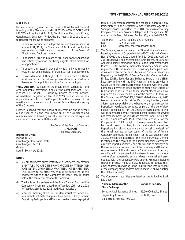## **N O T I C E**

Notice is hereby given that the Twenty Third Annual General Meeting of the Members of GUJARAT POLY-AVX ELECTRONICS LIMITED will be held at B-17/18, Gandhinagar Electronic Estate, Gandhinagar, Gujarat on Friday, the 3rd August, 2012 at 1.00 p.m. to transact the following business:

- 1. To receive, consider and adopt the audited Balance Sheet as at March 31, 2012, the Statement of Profit and Loss for the year ended on that date and the reports of the Board of Directors and Auditors thereon.
- 2. To appoint a Director in place of Mr.Chandrakant Khushaldas who retires by rotation, but being eligible, offers himself for re-appointment.
- 3. To appoint a Director in place of Mr. R.K.Jani who retires by rotation, but being eligible, offers himself for re-appointment.
- 4. To consider and, if thought fit, to pass with or without modification/s, the following resolution as an Ordinary Resolution for appointing Auditors for the current year.

**"RESOLVED THAT** pursuant to the provisions of Section 224 and other applicable provisions, if any, of the Companies Act, 1956, Messrs. C.C.Chokshi & Company, Chartered Accountants, Ahmedabad (Registration No.101876W) be and are hereby appointed as Auditors of the Company from the conclusion of this meeting until the conclusion of the next Annual General Meeting of the Company.

Further Resolved that the Board of Directors be and is hereby authorised to fix the remuneration of the Auditors and reimbursement of travelling and all other out of pocket expenses incurred in connection with the audit.

> By Order of the Board of Directors  **J. M. SHAH** Company Secretary

#### **Registered Office:**

Plot No.B-17/18 Gandhinagar Electronic Estate Gandhinagar 382 024 Gujarat. Dated : 30th May, 2012.

## **NOTES :**

- (a) A MEMBER ENTITLED TO ATTEND AND VOTE AT THE MEETING IS ENTITLED TO APPOINT PROXY/PROXIES TO ATTEND AND VOTE INSTEAD OF HIMSELF. A PROXY NEED NOT BE A MEMBER. The Proxies to be effective, should be deposited at the Registered Office of the Company not later than 48 hours before the commencement of the meeting.
- (b) The Register of Members and the Share Transfer Books of the Company will remain closed from Tuesday, 19th June, 2012 to Tuesday, 26th June, 2012 (both days inclusive).
- (c) Members holding shares in the dematerialized mode are requested to intimate changes in their address, if any, to their Depository Participants and Members holding shares in physical

form are requested to intimate the change of address, if any, immediately to the Registrar & Share Transfer Agents at Sharepro Services (India) Pvt. Ltd., 13AB, Samhita Warehousing Complex, 2nd Floor, Sakinaka Telephone Exchange Lane, Off Andheri Kurla Road, Sakinaka, Andheri (E), Mumbai 400 072.

| Telephone | $: 022 - 67720300 / 022 - 67720400$ |
|-----------|-------------------------------------|
| Fax       | $: 022 - 28591568$                  |
| Email     | : sharepro@shareproservices.com     |

- (d) The Company has implemented the "Green Initiative" circulars issued by Ministry of Corporate Affairs (MCA) vide their Circular Nos. 17/2011 and 18/2011 dated April 21, 2011 and April 29, 2011 respectively and effected electronic delivery of Notice of Annual General Meeting and Annual Report for the year ended March 31, 2011 to those shareholders whose email ids were registered with the respective Depository Participants and downloaded from the depositories viz National Securities Depository Limited (NSDL) / Central Depository Services (India) Limited (CDSL). Securities and Exchange Board of India (SEBI) have also in line with the MCA circulars and as provided in Clause 32 of the Listing Agreement executed with the Stock Exchanges, permitted listed entities to supply soft copies of full annual reports to all those shareholders who have registered their email addresses for the purpose. In terms of the Circular No. NSDL/CIR/II/10/2012 dated March 9, 2012 issued by National Securities Depository Limited, email addresses made available by the Depository for your respective Depository Participant accounts as part of the beneficiary position downloaded from the Depositories from time to time will be deemed to be your registered email address for serving notices/documents including those covered under Section 219 of the Companies Act, 1956 read with Section 53 of the Companies Act, 1956. In light of the requirements prescribed by the aforesaid circulars, for those shareholders whose Depository Participant accounts do not contain the details of their email address, printed copies of the Notice of Annual General Meeting and Annual Report for the year ended March 31, 2012 would be dispatched. The Notice of Annual General Meeting and the copies of the audited financial statements, directors' report, auditors' report etc. will also be displayed on the website www.polyavx.com of the Company and the other requirements of the aforesaid MCA circulars will be duly complied with. Members holding shares in electronic mode are therefore requested to ensure to keep their email addresses updated with the Depository Participants. Members holding shares in physical mode are also requested to update their email addresses by writing to the Registrar and Transfer Agent of the Company at the address mentioned in (c) above quoting their folio number(s).
- (e) The Company's securities are listed on the following Stock Exchange:

| <b>Name &amp; Address of the</b><br>Stock Exchange                                  | <b>Nature of Security</b>                 |
|-------------------------------------------------------------------------------------|-------------------------------------------|
| Bombay Stock Exchange Limited<br>Jeejeebhoy Towers<br>Dalal Street, Mumbai 400 023. | 85,50,000 Equity Shares<br>of Rs.10/-each |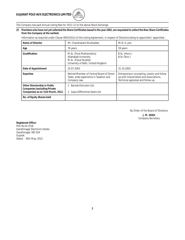

The Company has paid Annual Listing fees for 2011-12 to the above Stock Exchange.

## **(f) Members who have not yet collected the Share Certificates issued in the year 2002, are requested to collect the New Share Certificates from the Company at the earliest.**

Information as required under Clause 49(IV)(G)(i) of the Listing Agreement, in respect of Directors being re-appointed / appointed :

| Name of Director                                                                                          | Mr. Chandrakant Khushaldas                                                                                       | Mr.R. K. Jani                                                                                                                 |  |
|-----------------------------------------------------------------------------------------------------------|------------------------------------------------------------------------------------------------------------------|-------------------------------------------------------------------------------------------------------------------------------|--|
| Age                                                                                                       | 76 years                                                                                                         | 59 years                                                                                                                      |  |
| <b>Qualification</b>                                                                                      | M.Sc. (Pure Mathematics)<br>Allahabad University<br>M.Sc. (Fiscal Studies)<br>University of Bath, United Kingdom | B.Sc. (Hons.)<br>B.Sc (Tech.)                                                                                                 |  |
| Date of Appointment                                                                                       | 25.07.2003                                                                                                       | 31.10.2002                                                                                                                    |  |
| Expertise                                                                                                 | Retired Member of Central Board of Direct<br>Taxes, wide experience in Taxation and<br>Company Law.              | Entrepreneur counseling, Liaison and follow<br>up with Industrialists and Associations,<br>Technical appraisal and follow up. |  |
| Other Directorship in Public<br><b>Companies (excluding Private</b><br>Companies) as on 31st March, 2012. | 1. Baroda Extrusion Ltd.<br>2. Gajra Differential Gears Ltd.                                                     |                                                                                                                               |  |
| No. of Equity Shares held                                                                                 |                                                                                                                  |                                                                                                                               |  |

By Order of the Board of Directors

**J. M. SHAH** Company Secretary

**Registered Office:** Plot No.B-17/18 Gandhinagar Electronic Estate Gandhinagar 382 024 Gujarat. Dated : 30th May, 2012.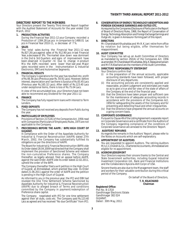## **DIRECTORS' REPORT TO THE MEMBERS**

Your Directors present the Twenty Third Annual Report together with the Audited Statement of Accounts for the year ended 31st March, 2012

## **1. PRODUCTION ACTIVITIES**

During the Financial Year 2011-12 your Company recorded a Production of 1384.28 Lac pcs in comparison to 1488.01 Lac pcs in Financial Year 2010-11, a decrease of 7 %.

## **2. SALES**

The total sales during the Financial Year 2011-12 was Rs.827.26 Lacs against sales of Rs. 912.90 Lacs in last Financial Year, a decrease of 9%. The market slow down was dominant in the 2nd & 3rd Quarters and signs of improvement have been observed in Quarter –IV. Due to change in product Mix the ASPs recorded were lower than last year. Major sales recorded were in the Instrumentation & Industrial Electronics, EMS and Automotive Segments.

#### **3. FINANCIAL RESULTS**

The Company's operations for the year has resulted into profit of Rs.48.36 Lacs (Previous year Rs. 54.91 Lacs). However, before interest, depreciation and tax there is Surplus of Rs.83.45 Lacs (Previous year Rs.165.32 Lacs). After debit of Rs.123.40 Lacs under exceptional items, there is loss of Rs.75.04 Lacs.

In view of the accumulated loss, your Directors have not been able to recommend any Dividend for the year 2011-12.

## **4. FINANCE**

The Company has fully repaid term loans with interest to Term **Lenders** 

## **5. FIXED DEPOSITS**

The Company has not received any deposits from Public during the year.

## **6. PARTICULARS OF EMPLOYEES**

Provisions of Section 217(2A) of the Companies Act, 1956 read with Companies (Particulars of Employees) Rules, 1975 are not applicable to the Company.

## **7. PROCEEDINGS BEFORE THE AAIFR / BIFR/HIGH COURT OF GUJARAT.**

In compliance with the Order of the Appellate Authority for Industrial & Financial Reconstruction (AAIFR) dated 27th March, 2002, the Company has substantially fulfilled its obligations as per the directions of AAIFR.

The Board for Industrial & Financial Reconstruction (BIFR) vide its Order dated 28.04.2009 had directed that the Company shall implement the provision of Sanctioned Scheme and redeem the non-cumulative Preference shares. The Company thereafter, as legally advised, filed an appeal before AAIFR, against the said Order. AAIFR vide its order dated 22.02.2011, upheld the order of the BIFR.

The Company thereafter filed a writ petition in the High Court of Gujarat, at Ahmedabad, which granted Stay vide its Order dated 21.06.2011 against the order of AAIFR and the petition is pending in the High Court of Gujarat.

As informed to you in the previous year, the IFCI and IDBI had revoked the One Time Settlement Scheme Sanctioned by Appellate Authority for Industrial & Financial Reconstruction (AAIFR) due to alleged breach of Terms and conditions committed by the Company in payment/redemption of Preference share capital.

The Company negotiated with IFCI for one time settlement against their all dues, costs etc. The Company paid Rs.123.40 Lacs as agreed and has received "No due Certificate" from IFCI.

#### **8. CONSERVATION OF ENERGY, TECHNOLOGY ABSORPTION AND FOREIGN EXCHANGE EARNINGS AND OUTGO ETC.**

As required by the Companies (Disclosure of Particulars in the Report of Board of Directors) Rules, 1968, the Report of Conservation of Energy, Technology Absorption and Foreign Exchange Earnings and Outgo etc. is given in Annexure-I forming part of this report.

## **9. DIRECTORS**

Mr. Chandrakant Khushaldas and Mr.R. K. Jani retire from office by rotation but being eligible, offer themselves for reappointment.

## **10. AUDIT COMMITTEE**

Your Company has set-up an Audit Committee of Directors as mandated by section 292(A) of the Companies Act, 1956 as amended. Mr.Chandrakant Khushaldas, Brig. K. Balasubramaniam and Mr.T.R.Kilachand are the members of the Audit Committee.

## **11. DIRECTORS' RESPONSIBILITY STATEMENT**

Your Directors confirm that :

- (i) in the preparation of the annual accounts, applicable accounting standards have been followed, with proper disclosure of any departures;
- (ii) the accounting policies are consistently applied and reasonable, prudent judgement and estimates are made so as to give a true and fair view of the state of affairs of the Company at the end of the financial year;
- (iii) that the Directors have taken proper and sufficient care for the maintenance of adequate accounting records in accordance with the provisions of the Companies Act, 1956 for safeguarding the assets of the Company and for preventing and detecting fraud and other irregularities.
- (iv) that the Directors have prepared the annual accounts on a going concern basis.

## **12. CORPORATE GOVERNANCE**

Pursuant to Clause 49 of the Listing Agreement a separate report on Corporate Governance and a certificate from the Auditors of the Company regarding compliance of the conditions of Corporate Governance are annexed to the Directors' Report.

## **13. AUDITORS' REMARKS**

As regards the remarks in the Auditors' Report, please refer to the Notes on Accounts which are self-explanatory.

## **14. APPOINTMENT OF AUDITORS**

You are requested to appoint Auditors. The retiring Auditors M/s.C.C.Chokshi & Co., Chartered Accountants, Ahmedabad are eligible for re-appointment.

## **15. ACKNOWLEDGEMENT**

Your Directors express their sincere thanks to the Central and State Government authorities, including Gujarat Industrial Investment Corporation Ltd., Bank and Financial Institutions and the Collaborators Kyocera-AVX Corpn of USA.

Sincere thanks are also due to the Management team, the staff and workers for their valuable contribution during this critical period of the Company.

> On behalf of the Board of Directors, **T. R. KILACHAND Chairman**

## **Registered Office:**

Plot No. B-17/18 Gandhinagar Electronic Estate Gandhinagar 382 024 GUJARAT. Dated : 30th May, 2012.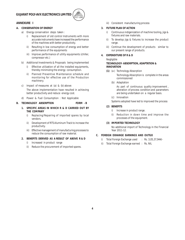

## **ANNEXURE I**

## **A. CONSERVATION OF ENERGY**

- a) Energy conservation steps taken :
	- i) Replacement of old control Instruments with more accurate instruments have increased the performance of the machines with better productivity.
	- ii) Resulting in low consumption of energy and better performance of the equipments
	- iii) Improve performance of utility equipments (chiller, compressor etc.)
- b) Additional Investments & Proposals being implemented
	- i) Effective utilization of all the installed equipments, thereby minimizing the energy consumption.
	- ii) Planned Preventive Maintenance schedule and monitoring for effective use of the Production machinery.
- c) Impact of measures at (a) & (b) above:

The above implementation have resulted in achieving better productivity and reduce energy cost.

d) Power & Fuel Consumption : Not Applicable

## **B. TECHNOLOGY ABSORPTION FORM - B**

- **1. SPECIFIC AREAS IN WHICH R & D CARRIED OUT BY THE COMPANY**
	- i) Replacing/Repairing of imported spares by local vendors.
	- ii) Development of RTS Aluminum Track to increase the productivity.
	- iii) Effective management of manufacturing processes to reduce the consumption of raw material.

## **2. BENEFITS DERIVED AS A RESULT OF ABOVE R & D**

- i) Increased in product range
- ii) Reduce the procurement of imported spares.

iii) Consistent manufacturing process

## **3. FUTURE PLAN OF ACTION**

- i) Continuous indigenization of machine tooling, jigs & fixtures and raw materials.
- ii) To develop jigs & fixtures to increase the product range.
- iii) Continue the development of products similar to our present range of products.

## **4. EXPENDITURE OF R & D**

## Negligible

## **TECHNOLOGY- ABSORPTION, ADAPTATION & INNOVATION**

- **(1)** (a ) Technology Absorption
	- Technology Absorption is complete in the areas commissioned
	- (b) Adaptation

As part of continuous quality improvement, alteration of process condition and parameters are being undertaken on a regular basis.

(c) Innovation

Systems adopted have led to improved the process

## **(2) BENEFITS**

- i) Increase in product range.
- ii) Reduction in down time and improve the processes of the equipment.

## **(3) IMPORTED TECHNOLOGY**

No additional import of Technology in the Financial Year 2011-12.

## **C. FOREIGN EXHANGE EARNINGS AND OUTGO**

- i) Total Foreign Exchange used : Rs. 3,05,37,944/-
- ii) Total Foreign Exchange earned : Rs. NIL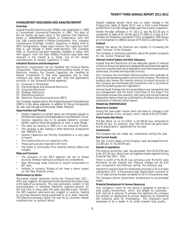## **MANAGEMENT DISCUSSION AND ANALYSIS REPORT**

#### **Overview**

Gujarat Poly-AVX Electronics Ltd (GPAEL) was established in 1989 & Commenced Commercial Production in 1993. This state of the art facility has been setup in the pollution free Electronic Estate in GANDHINAGAR, Gujarat in Collaboration with AVX Ltd., USA, a world leader in Passive Components. Your company manufactures Multilayer Ceramic Capacitors in Radial, Axial & SMD Configurations, Single Layer Ceramic Disc Capacitors both High & Low Voltage & Metal Oxide Varistors. The Complete Plant & Machinery has been imported, installed & setup with AVX Support. Over the Years GPAEL's Products have been well received in the market & is, today, one of the largest manufacturers of Ceramic Capacitors in India.

## **Industrial Structure and Development**

Electronics Components can be classified into Active & Passive Components. These Components are the building blocks of any Electronic Industry. Our Ceramic Capacitors are classified as Passive Components & find wide application due to their miniature size, wide range & low cost. They find applications primarily in the following Market segments:

- (1) Computer & Peripherals
- (2) Instrumentation and Industrial Electronics
- (3) Consumer Electronics<br>(4) Strategic Electronics
- (4) Strategic Electronics<br>(5) Telecommunications
- **Telecommunications**
- (6) Electronic Manufacturing Services (EMS)

Your Company supplies parts to the Original Equipment Manufacturers (OEM's) in the above segments. In addition to this our Components are also sold through a country-wide Dealer Network.

#### **Opportunities and Threats**

- Ceramic Capacitors as elicited above are immensely popular in the Electronic Industry & find applications in any Electronic Circuit.
- Ceramic Capacitors due to its variable Dielectric constant exhibit superior Electrical properties & have a wide Range .
- The sales are directly to OEM's & is an Industrial Product.
- The company is also Trading in other Electronic components like TANCAP's Etc.
- Ceramic Capacitors are Fiercely Competitive & is very easy to import.
- The Customs Duty on our capacitors is NIL.
- These parts are also imported in KIT form.
- The Dollar & Commodity Price volatility directly effects the margins.

## **Risks and Concerns**

- The evolution of the EMS segment has led to Global sourcing thereby making our products very competitive.
- New Technology areas continue to Import Components in KIT form.
- Voltality in currency, Metals, oil etc. have a direct impact on the Raw Material prices.

#### **Performance by Sector**

The overall market sentiment during the Financial Year 2011 – 2012 was negative. All segments across the board recorded a drop in the Sales of our products. This was particularly evident in the Instrumentation & Industrial Electronic segment wherein for the first time in many years the sales recorded a drop. Similarly the EMS segment sales were very sluggish & cautious, leading to purchase decisions being postponed to as & when required. The Telecommunication Sector too was hit by uncertain market conditions due to political fallout .

Despite negative growth there was no major change in the Product mix. Sales of Radial MLCC was a front runner followed by SMD MLCC's & High Voltage Single Layer Disc Ceramic Capacitors .

Overall the sales achieved in FY 2011-12 was Rs. 827.26 Lacs in comparison to Sales of Rs. 912.90 Lacs in FY 2010-11 a drop of 9 %. Similarly the Production during the FY 2011-12 slipped to 1384.28 Lacs pcs in Comparison to 1488.01 Lacs pcs in FY 2010-11 a decrease of 7 %.

## **Outlook**

Despite the above the Directors are hopeful of increasing the sales Turnover of the Company

The Company is Cautiously optimistic about the growth prospects for the current Financial Year.

## **Internal Control System and their Adequacy**

Gujarat Poly-AVX Electronics Ltd has adequate system of internal controls to ensure all assets are safeguarded and protected against loss from unauthorised use or disposition and that transactions are authorised, recorded and reported correctly.

Your Company has nominated Internal Auditors who evaluate all financial and operating system control of the company. The Internal Auditors also review the internal controls to ensure Accounts of the Company are maintained and transactions are in accordance with the prevailing laws and regulations.

Internal Audit findings and recommendations are reviewed by the top management and the Audit Committee of the Board. The Committee reviews the quarterly, half yearly and annual financial statements before these are submitted to the Board and ensures compliance of internal control system.

#### **FINANCIAL PERFORMANCE**

#### **Reserves & Surplus**

During the year under review there has been no changes in the capital reserves of the company which stands at Rs.29,75,000/-

## **Fixed Assets (Net Block)**

The Net Block as on 31.3.2012 is Rs.246.92 Lacs compared to Rs.264.10 Lacs for previous year. The net block has gone down due to depreciation / adjustment for the year.

## **Investments**

The Company has not made any investments during the year.

## **Net Current Assets**

The net current assets of the Company have decreased from Rs. 222.88 Lacs to Rs.165.09 Lacs.

#### **Results of operations**

The revenue during the year has decreased from Rs.912.90 Lacs to Rs. 827.26 Lacs due to over all negative market segment during Financial Year 2011 – 2012.

There is profit of Rs.48.36 Lacs (previous year Rs.54.91 Lacs) Provisions for the interest and financial charges are Rs. 8.93 Lacs compared to Rs.14.60 Lacs during the previous year.

Payment to and provision for employees amounts to 20 % of sales compared to 18 % in the previous year. Depreciation amounts to 3 % of sales during the year compared to 10 % in the previous year.

The Company cannot recommend dividend due to accumulated losses.

#### **Material Development in Human Resources**

Your Company's vision for the future is designed to provide a total quality environment, which will delight its customers both internal & external. To achieve this objective the company has embark on developing its Human Resources by sharpening the industrial skills for multitasking . This empowers every employee to be a leader in its stride towards total quality.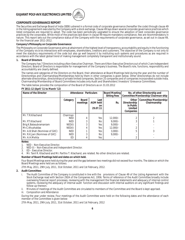

## **CORPORATE GOVERNANCE REPORT**

The Securities and Exchange Board of India (SEBI) ushered in a formal code of corporate governance (hereafter the code) through clause 49 in the listing agreement executed by the Company with a stock exchange. Clause 49 lays down several corporate governance practices which listed companies are required to adopt. The code has been periodically upgraded to ensure the adoption of best corporate governance practices by the corporates. While most of the practices laid down in clause 49 require mandatory compliance, few are recommendatory in nature. This report sets out the compliance status of the Company with the requirements of corporate governance, as set out in clause 49, for the financial year 2011-2012.

## **Company's Philosophy on Corporate Governance:**

The Philosophy on Corporate Governance aims at attainment of the highest level of transparency, accountability and equity in the functioning of the Company vis-à-vis interactions with employees, shareholders, creditors and customers. The objective of the Company is not only to meet the statutory requirements of the code but also go well beyond it by instituting such systems and procedures as are required in accordance with the latest global trend of making management completely transparent and institutionally sound.

## **1. Board of Directors**

The Company has 7 Directors including a Non-Executive Chairman. There are 6 Non-Executive Directors out of which 2 are Independent Directors. Board of Directors is responsible for management of the Company's business. The Board's role, functions, responsibility and accountability are clearly defined.

The names and categories of the Directors on the Board, their attendance at Board Meetings held during the year and the number of Directorships and Chairmanships/Memberships held by them in other companies is given below. Other directorships do not include alternate directorships, directorships of private limited companies, Section 25 companies and of companies incorporated outside India. Chairmanship/Membership of Board Committees includes only Audit and Shareholders'/Investors' Grievance Committees.

The table below provides the composition of the Board of Directors as on 31.03.2012

## **FY 2011-12 (April '11 to March '12)**

| Name of the Director            | <b>Attendance Particulars</b> |                   | <b>Board Meeting</b><br><b>Sitting Fees</b> | No. of other Directorship and<br>Committee Membership/Chairman-ship |                                                            |                                       |
|---------------------------------|-------------------------------|-------------------|---------------------------------------------|---------------------------------------------------------------------|------------------------------------------------------------|---------------------------------------|
|                                 | Category                      | Board<br>meetings | Last<br><b>AGM held</b><br>on.<br>29.07.11  | Rs.                                                                 | Other<br>Directorship<br>in Public<br>Limited<br>Companies | Committee Membership/<br>Chairmanship |
| Mr. T.R.Kilachand               | Chairman                      |                   |                                             |                                                                     |                                                            |                                       |
|                                 | <b>NED</b>                    | 4                 | Yes                                         | $12.000/-$                                                          |                                                            |                                       |
| Mr. P.T.Kilachand               | <b>NED</b>                    | 3                 | No.                                         | $9.000/-$                                                           |                                                            |                                       |
| Brig.K.Balasubramaniam          | NED(1)                        | 3                 | Yes                                         | $9.000/-$                                                           |                                                            |                                       |
| Mr.C.Khushaldas                 | NED(1)                        |                   | Yes                                         | $12.000/-$                                                          |                                                            |                                       |
| Mr. A.B. Shah (Nominee of GIIC) | <b>NED</b>                    |                   | Yes                                         | $3.000/-$                                                           | 5                                                          | 3                                     |
| Mr. R.K.Jani (Nominee of GIIC)  | <b>NED</b>                    | 3                 | No                                          | $9.000/-$                                                           |                                                            |                                       |
| Mr. A.H.Mehta                   | ED                            | 4                 | Yes                                         |                                                                     | റ                                                          |                                       |

## **Notes:**

1. NED – Non-Executive Director.<br>2. NED (I) – Non-Executive and In 2. NED (I) – Non-Executive and Independent Director.<br>3. ED – Executive Director.

3. ED – Executive Director.

4. Mr. Tanil R. Kilachand and Mr. Parthiv T. Kilachand, are related. No other directors are related.

## **Number of Board Meetings held and dates on which held.**

Four Board Meetings were held during the year and the gap between two meetings did not exceed four months. The dates on which the Board Meetings were held are as follows:

27th May, 2011, 29th July, 2011, 31st October, 2011 and 1st February, 2012.

## **2. Audit Committee:**

i. The Audit Committee of the Company is constituted in line with the provisions of Clause 49 of the Listing Agreement with the Stock Exchange read with Section 292A of the Companies Act, 1956. Terms of reference of the Audit Committee broadly include overseeing financial report processes, reviewing with the management the financial statements and adequacy of internal control systems, reviewing the adequacy of internal audit function and discussion with internal auditors on any significant findings and follow-up thereon.

ii. Minutes of meetings of the Audit Committee are circulated to members of the Committee and the Board is kept apprised.

iii. Composition and Attendance

During the year under review, Four meetings of the Audit Committee were held on the following dates and the attendance of each member of the Committee is given below:

27th May, 2011, 29th July, 2011, 31st October, 2011 and 1st February, 2012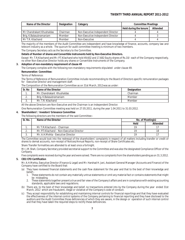| Name of the Director      | <b>Designation</b> | Category                           | <b>Committee Meetings</b>     |          |
|---------------------------|--------------------|------------------------------------|-------------------------------|----------|
|                           |                    |                                    | <b>Held during the tenure</b> | Attended |
| Mr Chandrakant Khushaldas | Chairman-          | Non Executive Independent Director |                               |          |
| Brig. K.Balasubramaniam   | Member             | Non Executive Independent Director |                               |          |
| Mr T.R. Kilachand         | Member             | Non-Executive                      |                               |          |

The majority of the members of the Audit Committee are independent and have knowledge of finance, accounts, company law and telecom industry as a whole. The quorum for audit committee meeting is minimum of two members. The Company Secretary acts as the Secretary to the Committee.

## **Details of Number of shares and Convertible Instruments held by Non-Executive Directors.**

Except Mr. T.R.Kilachand and Mr. P.T.Kilachand who hold 49,602 and 17,682 Equity shares of Rs.10/- each of the Company respectively, no other Non-Executive Director holds any shares or Convertible Instruments of the Company.

## **3. Adoption of non-mandatory requirement of clause 49**

The Company complies with the following non-mandatory requirements stipulated under clause 49.

## **Remuneration Committee:**

Terms of Reference:

The Terms of Reference of Remuneration Committee include recommending to the Board of Directors specific remuneration packages for Executive Director and management staff.

## The Composition of the Remuneration Committee as on 31st March, 2012was as under:

| Sr. No   | Name of the Director       | Designation |
|----------|----------------------------|-------------|
|          | Mr. Chandrakant Khushaldas | Chairman    |
| <u>.</u> | Brig. K.Balasubramaniam    | Member      |
| J.       | Mr. T.R. Kilachand         | Member      |

All the above Directors are Non-Executive and the Chairman is an Independent Director.

One Remuneration Committee meeting was held on 27.05.2011, during the year 1.04.2011 to 31.03.2012.

## **4. Shareholders' / Investors' Grievance Committee**

The following directors are the members of the said Committee:-

| Sr. No.  | Name of the Director                       | No. of Meeting(s) |          |
|----------|--------------------------------------------|-------------------|----------|
|          |                                            | Held              | Attended |
| . .      | Mr T.R.Kilachand – Chairman                | 1 Q               |          |
| <u>.</u> | Mr. P.T.Kilachand - Non-Executive Director | 19                |          |
|          | Mr. A.H.Mehta - Executive Director         | 19                |          |

The Committee would look into the redressal of the shareholders' complaints in respect of all matters including transfer or credit of shares to demat accounts, non-receipt of Notices/Annual Reports, non-receipt of Share Certificates etc.

Share Transfer formalities are attended to at least once a fortnight.

Mr. J.M.Shah, Company Secretary provided secretarial support to the Committee and was also the designated Compliance Officer of the Company.

Five complaints were received during the year and were solved. There are no complaints from the shareholders pending as on 31.3.2012. **5. CEO/CFO Certification**

Mr. A.H.Mehta, Executive Director (Finance & Legal) and Mr. Harshad H. Jani, Assistant General Manager (Accounts and Finance) of the Company have certified to the Board that:

- (a) They have reviewed financial statements and the cash flow statement for the year and that to the best of their knowledge and belief:-
	- 1. These statements do not contain any materially untrue statements or omit any material fact or contains statements that might be misleading.
	- 2. These statements together present a true and fair view of the Company's affairs and are in compliance with existing accounting standards, applicable laws and regulations.
- (b) There are, to the best of their knowledge and belief, no transactions entered into by the Company during the year ended 31st March, 2012 which are fraudulent, illegal or violative of the Company's code of conduct.
- (c) They accept responsibility for establishing and maintaining internal controls for financial reportings and that they have evaluated the effectiveness of the internal control systems of the Company pertaining to financial reporting and they have disclosed to the auditors and the Audit Committee those deficiencies of which they are aware, in the design or operation of such internal control and that they have taken the required steps to rectify these deficiencies.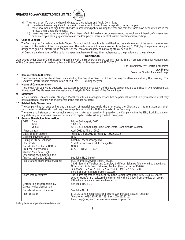

- (d) They further certify that they have indicated to the auditors and Audit Committee
	- (i) there have been no significant changes in internal control over financial reporting during the year.<br>(ii) there have been no significant changes in accounting policies during the year and that the same l
	- there have been no significant changes in accounting policies during the year and that the same have been disclosed in the notesto the financial statements.
	- there have been no instances of significant fraud of which they have become aware and the involvement therein, of management or an employee having significant role in the Company's internal control system over financial reporting.

## **6. Code of Conduct**

The Company has framed and adopted a Code of Conduct, which is applicable to all the directors and members of the senior management in terms of Clause 49 V of the Listing Agreement. The said code, which came into effect from January 1, 2006, lays the general principles designed to guide all directors and members of the senior management in making ethical decisions.

All Directors and members of the senior management have confirmed their adherence to the provisions of the said code.

## **Declaration**

As provided under Clause 49 of the Listing Agreement with the Stock Exchange, we confirm that the Board Members and Senior Management of the Company have confirmed compliance with the Code for the year ended 31.03.2012.

> For Gujarat Poly-AVX Electronics Limited **A.H.Mehta** Executive Director Finance & Legal

## **7. Remuneration to Directors**

The Company pays Fees to all Directors excluding the Executive Director of the Company for attendance during the meeting. The Executive Director is paid remuneration of Rs.11,92,691/- during the year.

## **8. Means of Communications**

The annual, half-yearly and quarterly results, as required under clause 41 of the listing agreement are published in two newspapers at Ahmedabad. The Management discussion and Analysis (MD&A) is part of the Annual Report.

## **9. Disclosure**

Mr. V.K.Puniani, Senior General Manager (Plant) constitutes 'management' and has no personal interest in any transaction that may have a potential conflict with the interest of the company at large.

## **10. Related Party Transactions**

The Company has not entered into any transaction of material nature withthe promoters, the Directors or the management, their subsidiaries or relatives etc. that may have any potential conflict with the interests of the Company.

There were no instances of non-compliance and no strictures or penalties imposed on the Company either by SEBI, Stock Exchange or any statutory authorities on any matter related to capital markets during the last three years.

## **11. General Shareholder Information**

| ochciai Jilai Choluci Thiomation                             |                                                                                                                                                                                                                                                                                                         |
|--------------------------------------------------------------|---------------------------------------------------------------------------------------------------------------------------------------------------------------------------------------------------------------------------------------------------------------------------------------------------------|
| AGM: Date<br>Time                                            | Friday, 3rd August, 2012                                                                                                                                                                                                                                                                                |
| Venue                                                        | 1.00 p.m.<br>At: B-17/18, Gandhinagar Electronic Estate, Gandhinagar, Gujarat.                                                                                                                                                                                                                          |
| <b>Financial Year</b>                                        | April 2011 to March 2012                                                                                                                                                                                                                                                                                |
| Dates of Book Closure                                        | Tuesday, 19.06.2012 to Tuesday, 26.06.2012                                                                                                                                                                                                                                                              |
| Dividend Payment Date                                        | N. A.                                                                                                                                                                                                                                                                                                   |
| Listing on Stock Exchange                                    | Bombay Stock Exchange Ltd.                                                                                                                                                                                                                                                                              |
| <b>Stock Code</b>                                            | 517288 - Bombay Stock Exchange Ltd.                                                                                                                                                                                                                                                                     |
| Demat ISIN Number in NSDL &<br><b>CDSL for Equity Shares</b> | NSDL)<br>INE541F01022<br>CDSL)                                                                                                                                                                                                                                                                          |
| Market Price Data: High,                                     |                                                                                                                                                                                                                                                                                                         |
| Low during each month in the                                 |                                                                                                                                                                                                                                                                                                         |
| financial year 2011-2012.                                    | See Table No.1 below                                                                                                                                                                                                                                                                                    |
| Registrar and Share Transfer Agents                          | M/s. Sharepro Services (India) Pvt.Ltd.<br>13 AB, Samhita Warehousing Complex, 2nd Floor, Sakinaka Telephone Exchange Lane,<br>Off Andheri Kurla Road, Sakinaka, Andheri (East), Mumbai 400 072.<br>Telephone: 022 67720300, 022 67720400 · fax: 022 28591568,<br>e mail: sharepro@shareproservices.com |
| Share Transfer System                                        | The Shares are traded compulsorily in the Demat form effective 6.12.2002. Shares<br>sent for transfer are registered and returned within 30 days from the date of receipt,<br>if the documents are clear in all respects.                                                                               |
| Distribution of shareholding &<br>Category-wise distribution | See Table No. 2 & 3                                                                                                                                                                                                                                                                                     |
| Dematerialisation of shares                                  | See Table No. 4.                                                                                                                                                                                                                                                                                        |
| <b>Plant Location</b>                                        | B-17/18, Gandhinagar Electronic Estate, Gandhinagar-382024 (Gujarat)<br>Telephone: 079-23287162 / 63    Fax: 079-23287161<br>Email: vkp@polyavx.com, Web-site: www.polyavx.com                                                                                                                          |

Listing Fees as applicable have been paid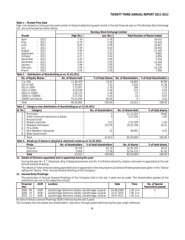## **Table 1 – Market Price Data**

High, Low (based on closing prices) and number of shares traded during each month in the last financial year on The Bombay Stock Exchange Ltd., are summarized as herein below.

|                                                                                                                                                                                                                                                                                        |                                                                                                 | <b>Bombay Stock Exchange Limited</b>                                                         |                                                                                                                 |                                                             |  |  |
|----------------------------------------------------------------------------------------------------------------------------------------------------------------------------------------------------------------------------------------------------------------------------------------|-------------------------------------------------------------------------------------------------|----------------------------------------------------------------------------------------------|-----------------------------------------------------------------------------------------------------------------|-------------------------------------------------------------|--|--|
| Month                                                                                                                                                                                                                                                                                  | High (Rs.)                                                                                      | Low (Rs.)                                                                                    |                                                                                                                 | <b>Total Number of Shares traded</b>                        |  |  |
| 2011<br>April<br>2011<br>May<br>2011<br>June<br>2011<br>July<br>2011<br>August<br>September<br>2011<br>October<br>2011<br>November<br>$-2011$<br>$-2011$<br>December<br>$-2012$<br>January<br>$-2012$<br>February<br>March<br>$-2012$                                                  | 7.34<br>6.79<br>6.00<br>5.59<br>5.00<br>4.41<br>4.27<br>5.20<br>5.04<br>3.94<br>3.58<br>4.54    | 5.78<br>5.28<br>4.38<br>4.63<br>3.37<br>3.50<br>3.42<br>3.40<br>2.93<br>2.95<br>3.00<br>3.28 | 16,431<br>10,420<br>19,647<br>18,392<br>11,040<br>6,882<br>6,956<br>4,744<br>12,449<br>3,651<br>14,126<br>7,906 |                                                             |  |  |
| Table 2 - Distribution of Shareholding as on 31.03.2012.                                                                                                                                                                                                                               |                                                                                                 |                                                                                              |                                                                                                                 |                                                             |  |  |
| No. of Equity Shares.                                                                                                                                                                                                                                                                  | No. of Shares held                                                                              | % of total shares                                                                            | No. of Shareholders                                                                                             | % of total Shareholders                                     |  |  |
| 1 to 100<br>101 to 500<br>501 to 1000<br>1001 to 5000<br>5001 to 10000<br>10001 to 100000<br>100001 and above<br>Total                                                                                                                                                                 | 11,90,079<br>5,99,367<br>2,72,872<br>4,59,549<br>2,02,125<br>4,73,742<br>53,52,266<br>85,50,000 | 13.92<br>7.01<br>3.19<br>5.38<br>2.36<br>5.54<br>62.60<br>100.00                             | 19,883<br>84.89<br>2,918<br>12.46<br>358<br>1.53<br>215<br>0.92<br>27<br>0.11<br>0.07<br>16<br>0.02<br>4        |                                                             |  |  |
|                                                                                                                                                                                                                                                                                        |                                                                                                 |                                                                                              | 23,421                                                                                                          | 100.00                                                      |  |  |
| Table 3 - Category-wise distribution of shareholding as on 31.03.2012<br>Sr. No.                                                                                                                                                                                                       |                                                                                                 |                                                                                              |                                                                                                                 |                                                             |  |  |
| Category<br>1.<br>Promoters<br>$\overline{2}$ .<br><b>Public Financial Institutions &amp; Banks</b><br>3.<br><b>Mutual Funds</b><br>4.<br><b>Bodies Corporate</b><br>5.<br>Resident Individuals<br>FII & OCBs<br>6.<br>Non-Resident Individuals<br>7.<br>8.<br><b>State Government</b> |                                                                                                 | No. of shareholders<br>3<br>4<br>113<br>23,279<br>22                                         | No. of shares held<br>51,13,255<br>3,27,259<br>1,55,709<br>29,16,786<br>36,991                                  | % of total shares<br>59.80<br>3.83<br>1.82<br>34.12<br>0.43 |  |  |
| Total                                                                                                                                                                                                                                                                                  |                                                                                                 | 23,421                                                                                       | 85,50,000                                                                                                       | 100.00                                                      |  |  |
| Mode                                                                                                                                                                                                                                                                                   | Table 4 - Break-up of shares in physical & electronic mode as on 31.03.2012.                    |                                                                                              |                                                                                                                 |                                                             |  |  |
| Physical<br>Electronic<br><b>Total</b><br>12. Details of Directors appointed and re-appointed during the year:<br>During the year Mr. P. T. Kilachand, Brig. K.Balasubramaniam and Mr. A.H.Mehta retired by rotation and were re-appointed at the last                                 | No. of shareholders<br>19,378<br>4,043<br>23,421                                                | % of total shareholders<br>82.74<br>17.26<br>100.00                                          | No. of shares<br>32,95,785<br>52,54,215<br>85,50,000                                                            | % of total shares<br>38.55<br>61.45<br>100.00               |  |  |
| Annual General Meeting.                                                                                                                                                                                                                                                                | .                                                                                               | .                                                                                            |                                                                                                                 |                                                             |  |  |

The details of other Directors being appointed and re-appointed in the ensuing Annual General Meeting have been given in the "Notice calling the Twenty Third Annual General Meeting of the Company".

## **13. General Body Meetings:**

The particulars of Annual General Meetings of the Company held in the last 3 years are as under. The shareholders passed all the resolutions set out in the respective notices.

| Financial<br>Year | AGM | Location                                            | Date       | Time        | No. of Special<br>Resolutions passed |
|-------------------|-----|-----------------------------------------------------|------------|-------------|--------------------------------------|
| 2008 - 09         | AGM | Gandhinagar Electronic Estate, Gandhinagar, Gujarat | 03.08.2009 | $1.00$ p.m. |                                      |
| 2009 - 10         | AGM | Gandhinagar Electronic Estate, Gandhinagar, Gujarat | 31.07.2010 | 1.00 p.m    |                                      |
| 2010 - 11         | AGM | Gandhinagar Electronic Estate, Gandhinagar, Gujarat | 29.07.2011 | 1.00 p.m    |                                      |

No Extra Ordinary General Meetings (EGM) held during the last 3 years.

The Company has not passed any shareholders' resolution through postal ballot during the year under reference.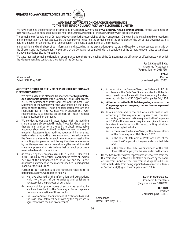

**DLY-/AW** 

We have examined the compliance of conditions of Corporate Governance by **Gujarat Poly-AVX Electronics Limited**, for the year ended on 31st March, 2012, as stipulated in clause 49 of the Listing Agreement of the said Company with Stock Exchange.

The compliance of conditions of Corporate Governance is the responsibility of the Management. Our examination was limited to procedures and implementation thereof, adopted by the Company for ensuring the compliance of the conditions of the Corporate Governance. It is neither an audit nor an expression of an opinion on the financial statements of the company.

In our opinion and to the best of our information and according to the explanations given to us, and based on the representations made by the Directors and the Management, we certify that the Company has complied with the conditions of the Corporate Governance as stipulated in above mentioned Listing Agreement.

We state that such compliance is neither an assurance as to the future viability of the Company nor the efficiency or effectiveness with which the Management has conducted the affairs of the Company.

> **For C.C.Chokshi & Co.,** Chartered Accountants (Registration No. 101876W)

> > **H.P.Shah**

Ahmedabad, *Partner* Dated: 30th May, 2012 (Membership No. 33331)

## **AUDITORS' REPORT TO THE MEMBERS OF GUJARAT POLY-AVX ELECTRONICS LIMITED**

- 1. We have audited the attached Balance Sheet of **Gujarat Poly-AVX Electronics Limited** ("the Company") as at 31st March, 2012, the Statement of Profit and Loss and the Cash Flow Statement of the Company for the year ended on that date, both annexed thereto. These financial statements are the responsibility of the Company's Management. Our responsibility is to express an opinion on these financial statements based on our audit.
- We conducted our audit in accordance with the auditing standards generally accepted in India. Those Standards require that we plan and perform the audit to obtain reasonable assurance about whether the financial statements are free of material misstatements. An audit includes examining, on a test basis, evidence supporting the amounts and the disclosures in the financial statements. An audit also includes assessing the accounting principles used and the significant estimates made by the Management, as well as evaluating the overall financial statement presentation. We believe that our audit provides a reasonable basis for our opinion.
- 3. As required by the Companies (Auditor's Report) Order, 2003 (CARO) issued by the Central Government in terms of Section 227(4A) of the Companies Act, 1956, we enclose in the Annexure a statement on the matters specified in paragraphs 4 and 5 of the said Order.
- 4. Further to our comments in the Annexure referred to in paragraph 3 above, we report as follows:
	- (a) we have obtained all the information and explanations which to the best of our knowledge and belief were necessary for the purposes of our audit;
	- (b) in our opinion, proper books of account as required by law have been kept by the Company so far as it appears from our examination of those books;
	- (c) the Balance Sheet, the Statement of Profit and Loss and the Cash Flow Statement dealt with by this report are in agreement with the books of account;

- (d) in our opinion, the Balance Sheet, the Statement of Profit and Loss and the Cash Flow Statement dealt with by this report are in compliance with the Accounting Standards referred to in Section 211(3C) of the Companies Act, 1956;
- (e) **Attention is invited to Note 26 regarding accounts of the Company prepared on a going concern basis as explained in the note.**
- (f) In our opinion and to the best of our information and according to the explanations given to us, the said accounts give the information required by the Companies Act, 1956 in the manner so required and give a true and fair view in conformity with the accounting principles generally accepted in India:
	- (i) in the case of the Balance Sheet, of the state of affairs of the Company as at 31st March, 2012;
	- in the case of Statement of Profit and Loss, of the loss of the Company for the year ended on that date and
	- (iii) in the case of the Cash Flow Statement, of the cash flows of the Company for the year ended on that date.
- 5. On the basis of the written representations received from the Directors as on 31st March, 2012 taken on record by the Board of Directors, none of the Directors is disqualified as on 31st March, 2012 from being appointed as a director in terms of Section 274(1) (g) of the Companies Act, 1956.

**For C. C. Chokshi & Co.** Chartered Accountants (Registration No. 101876W)

**H.P. Shah** *Partner* (Membership No. 33331)

Ahmedabad, Dated: 30th May, 2012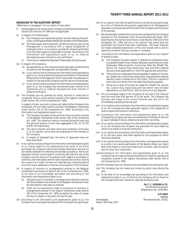## **ANNEXURE TO THE AUDITORS' REPORT**

(Referred to in paragraph 3 of our report of even date)

- (i) Having regard to the nature of the Company's business/activities/result, clauses (xiii) and (xiv) of CARO are not applicable.
- (ii) In respect of its fixed assets:
	- (a) The Company has maintained proper records showing full particulars, including quantitative details and situation of the fixed assets.
	- The fixed assets were physically verified during the year by the Management in accordance with a regular programme of verification which, in our opinion, provides for physical verification of all the fixed assets at reasonable intervals. According to the information and explanations given to us, no material discrepancies were noticed on such verification.
	- (c) There was no substantial disposal of fixed assets during the year.
- (iii) In respect of its inventory:
	- (a) As explained to us, the inventories were physically verified during the year by the Management at reasonable intervals.
	- (b) In our opinion and according to the information and explanations given to us, the procedures of physical verification of inventories followed by the Management were reasonable and adequate in relation to the size of the Company and the nature of its business.
	- (c) In our opinion and according to the information and explanations given to us, the Company has maintained proper records of its inventories and no material discrepancies were noticed on physical verification.
- (iv) The Company has not granted any loans, secured or unsecured to companies, firms or other parties covered in the register maintained under section 301 of the Companies Act, 1956.

In respect of loans, secured or unsecured, taken by the Company from companies, firms or other parties covered in the Register maintained under Section 301 of the Companies Act, 1956, according to the information and explanations given to us:

- (a) The Company has taken unsecured loan from one party covered in the Register maintained under section 301 of the Companies Act, 1956. The maximum amount involved during the year and the year-end balance of such loan aggregates to Rs. 51, 47,131 and Rs. Nil respectively.
- (b) The rate of interest and other terms and conditions of this loan is, in our opinion, prima facie not prejudicial to the interests of the Company.
- (c) In respect of aforesaid loan, the terms of repayment have not been stipulated.
- (v) In our opinion and according to the information and explanations given to us, having regard to the explanations that some of the items purchased are of special nature and suitable alternative sources are not readily available for obtaining comparable quotations, there is an adequate internal control system commensurate with the size of the Company and the nature of its business with regard to purchases of inventory and fixed assets and the sale of goods and services. During the course of our audit, we have not observed any continuing failure to correct major weakness in internal control system of the Company.
- (vi) In respect of contracts or arrangements entered in the Register maintained in pursuance of Section 301 of the Companies Act, 1956, to the best of our knowledge and belief and according to the information and explanations given to us:
	- (a) The particulars of contracts or arrangements referred to Section 301 that needed to be entered in the Register maintained under the said Section have been so entered.
	- (b) There are no transactions made in pursuance of contracts or arrangements entered in the register maintained under section 301 of the Companies Act, 1956 exceeding the value of rupees five lacs in respect of any party during the year.
- (vii) According to the information and explanations given to us, the Company has not accepted any deposit from the public during the year.
- (viii) In our opinion, the internal audit functions carried out during the year by a firm of Chartered Accountants appointed by the Management have been commensurate with the size of the Company and the nature of its business.
- (ix) We have broadly reviewed the cost records maintained by the Company pursuant to the Companies (Cost Accounting Records) Rules, 2011 prescribed by the Central Government under Section 209(1)(d) of the Companies Act, 1956 and are of the opinion that prima facie the prescribed cost records have been maintained. We have, however, not made a detailed examination of the cost records with a view to determine whether they are accurate or complete.
- According to the information and explanations given to us in respect of statutory dues:
	- (a) The Company has been regular in depositing undisputed dues, including Provident Fund, Investor Education and Protection Fund, Employees' State Insurance, Income-tax, Sales Tax, Wealth Tax, Service Tax, Custom Duty, Excise Duty, Cess and other material statutory dues applicable to it with the appropriate authorities.
	- (b) There were no undisputed amounts payable in respect of Incometax, Wealth Tax, Custom Duty, Excise Duty, Cess and other material statutory dues in arrears as at 31st March, 2012 for a period of more than six months from the date they became payable.
	- There are no dues of Income-tax, Sales Tax, Wealth Tax, Service Tax, Custom Duty, Excise Duty and Cess which have not been deposited as on 31st March, 2012 on account of any disputes.
- (xi) The accumulated losses of the Company at the end of the financial year are more than fifty percent of its net worth. The Company has incurred cash losses in the current financial year and not in the immediately preceding financial year.
- (xii) In our opinion and according to the information and explanations given to us, the Company has been generally regular in the repayment of dues to banks and financial institutions.
- (xiii) According to the information and explanations given to us, the Company has not given any loans and advances on the basis of security by way of pledge of shares, debentures and other securities.
- (xiv) In our opinion and according to the information and explanations given to us, the Company has not given any guarantee for loans taken by others from banks or financial institutions.
- (xv) In our opinion and according to the information and explanations given to us, the term loans have been applied for the purposes for which they were obtained.
- (xvi) In our opinion and according to the information and explanations given to us and on an overall examination of the Balance Sheet, we report that funds raised on short-term basis have not been used during the year for long- term investment.
- (xvii) According to the information and explanations given to us, the Company has not made preferential allotment of shares to parties and companies covered in the register maintained under section 301 of the Companies Act, 1956.
- (xviii)The Company has not issued any secured debentures during the year.
- (xix) The Company has not raised any money by public issue during the year.
- (xx) To the best of our knowledge and according to the information and explanations given to us, no fraud by the Company and no fraud on the Company has been noticed or reported during the year.

**For C. C. CHOKSHI & CO.** Chartered Accountants (Registration No. 101876W)

**H.P. SHAH** *Partner* Ahmedabad, (Membership No. 33331)

Dated: 30th May, 2012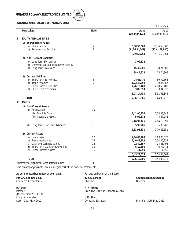

## **BALANCE SHEET AS AT 31ST MARCH, 2012**

|    |                                                                          |                |                          | (In Rupees)              |
|----|--------------------------------------------------------------------------|----------------|--------------------------|--------------------------|
|    | <b>Particulars</b>                                                       | <b>Note</b>    | As at<br>31st Mar 2012   | As at<br>31st Mar 2011   |
| I. | <b>EQUITY AND LIABILITIES</b>                                            |                |                          |                          |
|    | (1) Shareholders' Funds                                                  |                |                          |                          |
|    | (a) Share Capital                                                        | 2              | 18,36,50,000             | 18,36,50,000             |
|    | (b) Reserves and Surplus                                                 | 3              | (14, 36, 94, 247)        | (13,61,89,936)           |
|    |                                                                          |                | 3,99,55,753              | 4,74,60,064              |
|    | Non - Current Liabilities<br>(2)                                         |                |                          |                          |
|    | (a) Long Term Borrowings                                                 | 4              | 3,09,322                 |                          |
|    | (b) Deferred Tax Liabilities (Refer Note 30)<br>(d) Long Term Provisions | 5              | 15,35,501                | 18,74,305                |
|    |                                                                          |                |                          |                          |
|    | <b>Current Liabilities</b>                                               |                | 18,44,823                | 18,74,305                |
|    | (3)<br>(a) Short Term Borrowings                                         | 6              | 74,65,470                | 59,72,865                |
|    | <b>Trade Payables</b><br>(b)                                             | $\overline{7}$ | 1,23,46,798              | 79,44,867                |
|    | <b>Other Current Liabilities</b><br>(c)                                  | 8              | 1,76,13,468              | 2,08,53,189              |
|    | Short Term Provisions<br>(d)                                             | 9              | 3,88,994                 | 3,84,923                 |
|    |                                                                          |                | 3,78,14,730              | 3,51,55,844              |
|    | <b>TOTAL</b>                                                             |                | 7,96,15,306              | 8,44,90,213              |
|    | II. ASSETS                                                               |                |                          |                          |
|    | (1) Non-Current Assets                                                   |                |                          |                          |
|    | <b>Fixed Assets</b><br>(a)                                               | 10             |                          |                          |
|    | (i)<br><b>Tangible Assets</b>                                            |                | 2,41,00,253              | 2,55,43,343              |
|    | Intangible Assets<br>(ii)                                                |                | 5,92,172                 | 8,67,048                 |
|    |                                                                          |                | 2,46,92,425              | 2,64,10,391              |
|    | (b) Long Term Loans and Advances                                         | 11             | 5,99,206                 | 6,35,760                 |
|    |                                                                          |                | 2,52,91,631              | 2,70,46,151              |
|    | <b>Current Assets</b><br>(2)                                             |                |                          |                          |
|    | Inventories<br>(a)                                                       | 12             | 2,74,03,705              | 2,89,38,070              |
|    | (b) Trade receivables<br>Cash and Cash Equivalent<br>(c)                 | 13<br>14       | 2,40,48,783<br>22,40,557 | 2,53,30,832<br>24,85,495 |
|    | Short Term Loans and Advances<br>(d)                                     | 15             | 6,19,380                 | 6,78,415                 |
|    | <b>Other Current Assets</b><br>(e)                                       | 16             | 11,250                   | 11,250                   |
|    |                                                                          |                | 5,43,23,675              | 5,74,44,062              |
|    | <b>TOTAL</b>                                                             |                | 7,96,15,306              | 8,44,90,213              |
|    | Summary of Significant Accounting Policies                               |                |                          |                          |
|    | The accompanying notes are an integral part of the financial statements  |                |                          |                          |
|    |                                                                          |                |                          |                          |

As per our attached report of even date. For and on behalf of the Board

Chartered Accountants

**H.P.Shah A. H. Mehta** (Membership No. 33331) Place : Ahmedabad **J. M. Shah**<br>
Date : 30th May, 2012 **J. M. Shah** Company Secretary

**For C. C. Chokshi & Co. For C. C. Chokshi & Co. Chokshi & Co. Chokshi & Co. Chandrakant Khushaldas**<br>Chairman Chairman Chairman Director Director

Executive Director - Finance & Legal

Mumbai, 30th May, 2012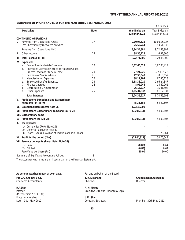## **STATEMENT OF PROFIT AND LOSS FOR THE YEAR ENDED 31ST MARCH, 2012**

|      |                                                                                               |      |                                | (In Rupees)                    |
|------|-----------------------------------------------------------------------------------------------|------|--------------------------------|--------------------------------|
|      | <b>Particulars</b>                                                                            | Note | Year Ended on<br>31st Mar 2012 | Year Ended on<br>31st Mar 2011 |
|      | <b>CONTINUING OPERATIONS</b>                                                                  |      |                                |                                |
| I.   | Revenue from Operations (Gross)<br>Less: Cenvat Duty recovered on Sales                       | 17   | 9,10,97,625<br>76,62,744       | 10,06,15,027<br>83,61,033      |
|      | Revenue from Operations (Net)                                                                 |      | 8,34,34,881                    | 9,22,53,994                    |
| Ш.   | Other Income                                                                                  | 18   | 38, 36, 725                    | 6,92,306                       |
| III. | Total Revenue (I + II)                                                                        |      | 8,72,71,606                    | 9,29,46,300                    |
| IV.  | <b>Expenses:</b>                                                                              |      |                                |                                |
|      | Cost of Raw Materials Consumed<br>a.<br>(Increase)/Decrease in Stock of Finished Goods,<br>b. | 19   | 3,72,65,529                    | 3,97,80,412                    |
|      | Process Stock and Stock-in-Trade                                                              | 20   | 27,21,226                      | (27, 13, 958)                  |
|      | Purchase of Stock-in-Trade<br>C.                                                              | 21   | 77,56,648                      | 78,10,657                      |
|      | <b>Manufacturing Expenses</b><br>d.                                                           | 22   | 38,11,204                      | 67,95,128                      |
|      | <b>Employee Benefits Expenses</b><br>е.                                                       | 23   | 1,68,38,010                    | 1,66,24,347                    |
|      | f.<br><b>Finance Charges</b>                                                                  | 24   | 8,92,946                       | 14,60,262                      |
|      | Depreciation & Amortization<br>g.                                                             |      | 26, 15, 717                    | 95,81,508                      |
|      | Other Expenses<br>h.                                                                          | 25   | 1,05,34,637                    | 81, 17, 337                    |
|      | <b>Total Expenses</b>                                                                         |      | 8,24,35,917                    | 8,74,55,693                    |
| V.   | Profit before Exceptional and Extraordinary<br>Items and Tax (III-IV)                         |      | 48,35,689                      | 54,90,607                      |
|      | VI. Exceptional Items (Refer Note 26)                                                         |      | 1,23,40,000                    |                                |
|      | VII. Profit before Extraordinary Items and Tax (V-VI)                                         |      | (75, 04, 311)                  | 54,90,607                      |
|      | <b>VIII. Extraordinary Items</b>                                                              |      |                                |                                |
|      | IX. Profit before Tax (VII-VIII)                                                              |      | (75, 04, 311)                  | 54,90,607                      |
| х.   | Tax Expense:                                                                                  |      |                                |                                |
|      | (1) Current Tax (Refer Note 29)                                                               |      |                                |                                |
|      | Deferred Tax (Refer Note 30)<br>(2)                                                           |      |                                |                                |
|      | Short/(Excess) Provision of Taxation of Earlier Years<br>(3)                                  |      |                                | 20,064                         |
|      | XI. Profit for the period (IX-X)                                                              |      | (75, 04, 311)                  | 54,70,543                      |
|      | VIII. Earnings per equity share: (Refer Note 35)                                              |      |                                |                                |
|      | (1) Basic                                                                                     |      | (0.88)                         | 0.64                           |
|      | Diluted<br>(2)                                                                                |      | (0.88)                         | 0.64                           |
|      | Face Value per Share (Rs.)                                                                    |      | 10.00                          | 10.00                          |
|      | Summary of Significant Accounting Policies                                                    | 1    |                                |                                |

The accompanying notes are an integral part of the Financial Statement.

| As per our attached report of even date. | For and on behalf of the Board       |                        |
|------------------------------------------|--------------------------------------|------------------------|
| For C. C. Chokshi & Co.                  | T. R. Kilachand                      | Chandrakant Khushaldas |
| <b>Chartered Accountants</b>             | Chairman                             | Director               |
| H.P.Shah                                 | A. H. Mehta                          |                        |
| Partner                                  | Executive Director - Finance & Legal |                        |
| (Membership No. 33331)                   |                                      |                        |
| Place: Ahmedabad                         | J. M. Shah                           |                        |
| Date: 30th May, 2012                     | Company Secretary                    | Mumbai, 30th May, 2012 |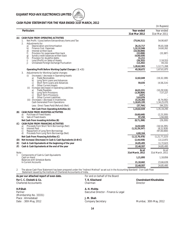

## **CASH FLOW STATEMENT FOR THE YEAR ENDED 31ST MARCH, 2012**

|            |                                                                                                                                                                 |                                        | (In Rupees)                 |
|------------|-----------------------------------------------------------------------------------------------------------------------------------------------------------------|----------------------------------------|-----------------------------|
|            | <b>Particulars</b>                                                                                                                                              | Year ended<br>31st Mar 2012            | Year ended<br>31st Mar 2011 |
| (A)        | CASH FLOW FROM OPERATING ACTIVITIES                                                                                                                             |                                        |                             |
|            | Net Profit / (Loss) before Extraordinary items and Tax<br>1.                                                                                                    | (75, 04, 311)                          | 54,90,607                   |
|            | 2.<br>Adjustments for:<br>Depreciation and Amortisation<br>a)<br>b)<br>Finance Cost Expenses                                                                    | 26, 15, 717<br>1,32,32,946             | 95,81,508<br>14,60,262      |
|            | d)<br>Interest written back<br>f)<br>Provision for expensewritten back<br>Sundry credit balances written back                                                   | (33,50,000)<br>(22, 898)<br>(4,04,439) | (33, 387)                   |
|            | $\begin{matrix} 9 \\ h \end{matrix}$<br>Provision for doubtful debts<br>i)<br>Loss/(Profit) on Sales of Assets<br>j)<br>Unrealised Foreign Exchange Fluctuation | 31,211<br>(26, 353)<br>(13, 202)       | 2,18,553<br>44,332          |
|            |                                                                                                                                                                 | 1,20,62,983                            | 1, 12, 71, 268              |
|            | Operating Profit Before Working Capital Changes $(1+2)$                                                                                                         | 45,58,672                              | 1,67,61,875                 |
|            | Adjustments for Working Capital changes:<br>3.                                                                                                                  |                                        |                             |
|            | (Increase) / decrease in Operating Assets<br>(i)<br>Trade Receivables<br>a)<br>b)<br>Long Term Loans and Advances                                               | 12,82,049                              | (19, 32, 199)               |
|            | Short Term Loans and Advances<br>$\mathcal{C}$ )                                                                                                                | 59,035                                 | (4,58,214)                  |
|            | <b>Other Current Assets</b><br>d)<br>Increase (decrease) in Operating Liabilities<br>(ii)                                                                       |                                        |                             |
|            | Trade Payables<br>a)                                                                                                                                            | 44.01.931                              | (10, 29, 526)               |
|            | Long Term Provisions<br>b)<br><b>Short Term Provisions</b><br>C)                                                                                                | (3, 38, 804)<br>4,071                  | 7,57,227                    |
|            | <b>Other Current Liabilities</b><br>d)                                                                                                                          | 3.63.876                               |                             |
|            | (iii) (Increase) / decrease in Inventories<br>Cash Generated From Operations                                                                                    | 15,34,365<br>1,18,65,195               | (6, 74, 092)<br>1,34,25,070 |
|            | Less: Direct Taxes Paid/(Refund) (Net)                                                                                                                          | (37, 744)                              | (94, 225)                   |
|            | Net Cash From Operating Activities (A)                                                                                                                          | 1,19,02,939                            | 1,35,19,295                 |
| (B)        | <b>CASH FLOW FROM INVESTING ACTIVITIES</b><br><b>Purchase of Fixed Assets</b><br>a)<br>Sale of Fixed Assets<br>b)                                               | (9,68,648)<br>97,250                   | (2, 23, 200)<br>1,94,000    |
|            | Net Cash From Investing Activities (B)                                                                                                                          | (8, 71, 398)                           | (29, 200)                   |
| (C)        | CASH FLOW FROM FINANCING ACTIVITIES                                                                                                                             |                                        |                             |
|            | Proceeds from Short Term Borrowings (Net)<br>a)                                                                                                                 | 14,92,605                              | (16, 54, 295)               |
|            | b)<br><b>Interest Paid</b><br>Repayment of Long Term Borrowings<br>C)                                                                                           | (1, 32, 29, 247)                       | (8, 22, 928)<br>(97,00,000) |
|            | Proceeds from Long Term Borrowings (Net)<br>d)                                                                                                                  | 4,60,164                               |                             |
|            | Net Cash From Financing Activities (C)                                                                                                                          | (1, 12, 76, 478)                       | (1, 21, 77, 223)            |
| (D)        | Net Increase/(Decrease) In Cash & Cash Equivalents (A+B+C)                                                                                                      | (2, 44, 938)                           | 13,12,872                   |
| (E)        | Cash & Cash Equivalents at the beginning of the year                                                                                                            | 24,85,495                              | 11,72,623                   |
| (F)        | Cash & Cash Equivalents at the end of the year                                                                                                                  | 22,40,557                              | 24,85,495                   |
|            |                                                                                                                                                                 | As at                                  | As at                       |
| Note:<br>1 | Components of Cash & Cash Equivalents                                                                                                                           | 31st March, 2012                       | 31st March, 2011            |
|            | Cash on Hand                                                                                                                                                    | 1,21,895                               | 1,18,856                    |
|            | <b>Balances with Schedule Banks</b><br>In Current Accounts                                                                                                      | 21,18,662                              | 23,66,639                   |
|            |                                                                                                                                                                 | 22,40,557                              | 24,85,495                   |
|            |                                                                                                                                                                 |                                        |                             |

2 The above Cash Flow Statement has been prepared under the "Indirect Method" as set out in the Accounting Standard - 3 on Cash Flow Statement issued by the Institute of Chartered Accountants of India.

As per our attached report of even date. For and on behalf of the Board **For C. C. Chokshi & Co. For C. C. Chokshi & Co. Chokshi & Co. Chokshi & Co. Chandrakant Khushaldas**<br>Chartered Accountants **Channel Chairman** Chairman Chairman Chairman Director Chartered Accountants

**H.P.Shah A. H. Mehta** (Membership No. 33331) Place : Ahmedabad **J. M. Shah**<br>Date : 30th May, 2012 **Company S** 

Executive Director - Finance & Legal

Company Secretary **Mumbai**, 30th May, 2012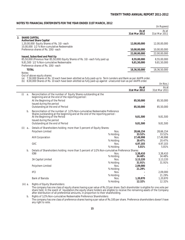(In Nos.)

## **NOTES TO FINANCIAL STATEMENTS FOR THE YEAR ENDED 31ST MARCH, 2012**

|         |                                                                                                                                                                                                       |                            | (In Rupees)                |
|---------|-------------------------------------------------------------------------------------------------------------------------------------------------------------------------------------------------------|----------------------------|----------------------------|
|         |                                                                                                                                                                                                       | As at<br>31st Mar 2012     | As at<br>31st Mar 2011     |
| $2^{2}$ | <b>SHARE CAPITAL</b><br><b>Authorised Share Capital</b>                                                                                                                                               |                            |                            |
|         | 1,20,00,000 Equity Shares of Rs. 10/- each<br>10,00,000 1/2 % Non-cumulative Redeemable                                                                                                               | 12,00,00,000               | 12,00,00,000               |
|         | Preference shares of Rs. 100/- each                                                                                                                                                                   | 10,00,00,000               | 10,00,00,000               |
|         |                                                                                                                                                                                                       | 22,00,00,000               | 22,00,00,000               |
|         | Issued, Subscribed and Paid Up<br>85,50,000 (Previous Year 85,50,000) Equity Shares of Rs. 10/- each fully paid up<br>9,81,500 1/2 % Non-cumulative Redeemable<br>Preference shares of Rs. 100/- each | 8,55,00,000<br>9,81,50,000 | 8,55,00,000<br>9.81.50.000 |
|         | <b>TOTAL</b>                                                                                                                                                                                          | 18,36,50,000               | 18,36,50,000               |

### Notes:

Out of above equity shares:

(a) 7,50,000 Shares of Rs. 10 each have been allotted as fully paid-up to Term Lenders and Bank as per AAIFR order.

(b) 8,00,000 Shares of Rs. 10 each have been allotted as fully paid-up against unsecured loan as per AAIFR order.

|            |    |                                                                                                                                                                                                                                                             |                                | As at<br>31st Mar 2012 | As at<br>31st Mar 2011 |
|------------|----|-------------------------------------------------------------------------------------------------------------------------------------------------------------------------------------------------------------------------------------------------------------|--------------------------------|------------------------|------------------------|
| (i)        | a. | Reconciliation of the number of Equity Shares outstanding at the<br>beginning and at the end of the reporting period:                                                                                                                                       |                                |                        |                        |
|            |    | At the Beginning of the Period<br>Issued during the period                                                                                                                                                                                                  |                                | 85,50,000              | 85,50,000              |
|            |    | Outstanding at the end of Period                                                                                                                                                                                                                            |                                | 85,50,000              | 85,50,000              |
|            | b. | Reconciliation of the number of 1/2% Non-cumulative Redeemable Preference<br>Shares outstanding at the beginning and at the end of the reporting period :<br>At the Beginning of the Period<br>Issued during the period<br>Outstanding at the end of Period |                                | 9,81,500<br>9,81,500   | 9,81,500<br>9,81,500   |
| (ii)       | a  | Details of Shareholders holding more than 5 percent of Equity Shares:                                                                                                                                                                                       |                                |                        |                        |
|            |    | Polychem Limited                                                                                                                                                                                                                                            | Nos.<br>% Holding              | 28,66,154<br>33.52%    | 28,66,154<br>33.52%    |
|            |    | <b>AVX Corporation</b>                                                                                                                                                                                                                                      | Nos.                           | 17,49,998              | 17,49,998              |
|            |    | GIIC                                                                                                                                                                                                                                                        | % Holding<br>Nos.              | 20.47%<br>4,97,103     | 20.47%<br>4,97,103     |
|            |    |                                                                                                                                                                                                                                                             | % Holding                      | 5.81%                  | 5.81%                  |
|            | b. | Details of Shareholders holding more than 5 percent of 1/2% Non-cumulative Preference Shares:                                                                                                                                                               |                                |                        |                        |
|            |    | <b>IDBI</b>                                                                                                                                                                                                                                                 | Nos.<br>% Holding              | 3,38,410<br>34.48%     | 3,38,410<br>34.48%     |
|            |    | 3A Capital Limited                                                                                                                                                                                                                                          | Nos.<br>% Holding              | 3,13,220<br>31.91%     | 3,13,220<br>31.91%     |
|            |    | Polychem Limited                                                                                                                                                                                                                                            | Nos.                           | 2,09,000               |                        |
|            |    |                                                                                                                                                                                                                                                             | % Holding                      | 21.29%                 |                        |
|            |    | <b>IFCI</b>                                                                                                                                                                                                                                                 | Nos.                           |                        | 2,09,000<br>21.29%     |
|            |    | Bank of Baroda                                                                                                                                                                                                                                              | % Holding<br>Nos.<br>% Holding | 1,20,870<br>12.32%     | 1,20,870<br>12.32%     |
| $\sqrt{2}$ |    | Diabte of Lautty Charabolders                                                                                                                                                                                                                               |                                |                        |                        |

(iii) a. Rights of Equity Shareholders:

The company has one class of equity shares having a par value of Rs.10 per share. Each shareholder is eligible for one vote per share held. In the event of liquidation,the equity share holders are eligible to receive the remaining assets of the Company after distribution of all preferential amounts, in proportion to their shareholding.

b. Rights of 1/2% Non-cumulative Redeemable Preference Shareholders: The company has one class of preference shares having a par value of Rs.100 per share. Preference shareholders doesn't have any right to vote.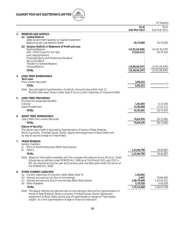

(In Rupees)

**31st Mar 2012** 31st Mar 2011

## **7. TRADE PAYABLES**

Sundry Creditors :

|  |  | a) Micro & Small Enterprises (Refer Note below) |  |  |
|--|--|-------------------------------------------------|--|--|
|--|--|-------------------------------------------------|--|--|

|    | Others<br>b)                                                                                                                                                                                                                                                                            | 1,23,46,798 | 79,44,867   |
|----|-----------------------------------------------------------------------------------------------------------------------------------------------------------------------------------------------------------------------------------------------------------------------------------------|-------------|-------------|
|    | <b>TOTAL</b>                                                                                                                                                                                                                                                                            | 1,23,46,798 | 79,44,867   |
|    | Note: Based on information available with the company the balance due to Micro & Small<br>Enterprises as defined under MSMED Act, 2006 as at 31st March 2011 and 2012 is<br>NIL. No interest during the year and previous year has been paid under the terms of<br>the MSMED Act, 2006. |             |             |
| 8. | OTHER CURRENT LIABILITIES                                                                                                                                                                                                                                                               |             |             |
|    | Current maturities of long-term debt (Refer Note 4)<br>(a)                                                                                                                                                                                                                              | 1,50,842    |             |
|    | Interest accrued but not due on borrowings<br>(b)                                                                                                                                                                                                                                       | 3.697       | 79,66,500   |
|    | Interest accrued and due on borrowings (Refer Note below)<br>(c)                                                                                                                                                                                                                        | 1,68,79,409 | 1,24,41,011 |
|    | <b>Other Payables</b><br>(d)                                                                                                                                                                                                                                                            | 5,79,520    | 4,45,678    |
|    | <b>TOTAL</b>                                                                                                                                                                                                                                                                            | 1,76,13,468 | 2,08,53,189 |
|    | Note: The above Interest accrued and due on borrowings is Secured by hypothecation of                                                                                                                                                                                                   |             |             |

stocks of Raw Material, Stock-in-process, Finished Goods, Stores, Spares and assignment of Book Debts and by way of hypothecation charge on Fixed Assets subject to a first hypothecation charge to financial institution.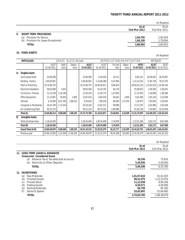|    |                                       |                        | (In Rupees)            |
|----|---------------------------------------|------------------------|------------------------|
|    |                                       | As at<br>31st Mar 2012 | As at<br>31st Mar 2011 |
| 9. | <b>SHORT TERM PROVISIONS</b>          |                        |                        |
|    | Provision for Bonus<br>(a)            | 2,04,795               | 2.05.919               |
|    | Provision for Leave Encashment<br>(b) | 1,84,199               | 1,79,004               |
|    | <b>TOTAL</b>                          | 3,88,994               | 3.84.923               |

## **10. FIXED ASSETS**

(In Rupees)

| <b>PARTICULARS</b><br>GROSS<br>BLOCK (At Cost)<br>DEPRECIATION/AMORTISATION |                         |                     |                | <b>NET BLOCK</b>         |                     |                     |                 |                 |                           |             |                                |
|-----------------------------------------------------------------------------|-------------------------|---------------------|----------------|--------------------------|---------------------|---------------------|-----------------|-----------------|---------------------------|-------------|--------------------------------|
|                                                                             |                         | AS AT<br>01-04-2011 | Addi-<br>tions | Deduc-<br>tions          | AS AT<br>31-03-2012 | AS AT<br>01-04-2011 | For the<br>Year | Deduc-<br>tions | <b>UPTO</b><br>31-03-2012 | AS AT       | AS AT<br>31-03-2012 31-03-2011 |
| A)                                                                          | Tangible Assets:        |                     |                |                          |                     |                     |                 |                 |                           |             |                                |
|                                                                             | Land (Lease Hold)       | 32,89,596           |                | ٠                        | 32,89,596           | 6,45,929            | 34,212          |                 | 6,80,141                  | 26,09,455   | 26,43,667                      |
|                                                                             | Building - Factory      | 1,94,00,091         |                | $\overline{\phantom{a}}$ | 1,94,00,091         | 1,15,66,388         | 6,47,964        |                 | 1,22,14,352               | 71,85,739   | 78,33,703                      |
|                                                                             | Plant & Machinery       | 19,74,06,755        |                |                          | 19,74,06,755        | 18,48,58,611        | 9,84,624        |                 | 18,58,43,235              | 1,15,63,520 | ,25,48,144                     |
|                                                                             | Electrical Installation | 58,91,698           | 1,810          | ×.                       | 58,93,508           | 55,34,745           | 64,178          |                 | 55,98,923                 | 2,94,585    | 3,56,953                       |
|                                                                             | Furniture & Fixtures    | 12,14,158           | 1,16,196       |                          | 13,30,354           | 11,05,772           | 1,07,683        |                 | 12,13,455                 | 1,16,899    | 1,08,386                       |
|                                                                             | Office Equipment        | 12,13,467           | 76,926         | 2,850                    | 12,87,543           | 8,80,418            | 64,832          | 2,850           | 9,42,400                  | 3,45,143    | 3,33,049                       |
|                                                                             | Vehicles                | 6,19,590            | 6,01,282       | 2,86,252                 | 9,34,620            | 2,99,536            | 66,494          | 2,15,355        | 1,50,675                  | 7,83,945    | 3,20,054                       |
|                                                                             | Computer & Peripherals  | 16,45,749           | 1,72,434       |                          | 18,18,183           | 12,82,311           | 89,886          |                 | 13,72,197                 | 4,45,986    | 3,63,438                       |
|                                                                             | Air Conditioning Plant  | 59,15,110           |                |                          | 59,15,110           | 48,79,161           | 2,80,968        |                 | 51,60,129                 | 7,54,981    | 10,35,949                      |
|                                                                             | Total (A)               | 23,65,96,214        | 9,68,648       | 2,89,102                 | 23,72,75,760        | 21, 10, 52, 871     | 23,40,841       | 2,18,205        | 21,31,75,507              | 2,41,00,253 | 2,55,43,343                    |
| B)                                                                          | Intangible Assets:      |                     |                |                          |                     |                     |                 |                 |                           |             |                                |
|                                                                             | Technical Know-How      | 1,18,43,456         |                | $\overline{\phantom{a}}$ | 1,18,43,456         | 1,09,76,408         | 2,74,876        |                 | 1,12,51,284               | 5,92,172    | 8,67,048                       |
|                                                                             | Total (B)               | 1, 18, 43, 456      |                | $\blacksquare$           | 1,18,43,456         | 1,09,76,408         | 2,74,876        |                 | 1,12,51,284               | 5,92,172    | 8,67,048                       |
|                                                                             | Grand Total (A+B)       | 24,84,39,670        | 9,68,648       | 2,89,102                 | 24,91,19,216        | 22,20,29,279        | 26, 15, 717     | 2,18,205        | 22,44,26,791              | 2,46,92,425 | 2,64,10,391                    |
|                                                                             | Previous year           | 24,94,12,826        | 2,23,200       | 11,96,356                | 24,84,39,670        | 21,32,31,574        | 95,81,508       | 7,83,803        | 22, 20, 29, 279           | 2,64,10,391 | 3,61,81,252                    |

|                                                                 |                        | (In Rupees)            |
|-----------------------------------------------------------------|------------------------|------------------------|
|                                                                 | As at<br>31st Mar 2012 | As at<br>31st Mar 2011 |
| LONG TERM LOANS & ADVANCES<br>11.<br>Unsecured, Considered Good |                        |                        |
| Advance Tax & Tax deducted at source<br>(a)                     | 39.256                 | 75,810                 |
| Electricity & Other Deposits<br>(b)                             | 5,59,950               | 5,59,950               |
| <b>TOTAL</b>                                                    | 5,99,206               | 6,35,760               |
| <b>INVENTORIES</b><br>12.                                       |                        |                        |
| Raw Materials<br>(a)                                            | 1,01,87,810            | 91,01,925              |
| <b>Finished Goods</b><br>(b)                                    | 98,41,975              | 1,31,53,974            |
| (c)<br><b>Process Stock</b>                                     | 11,12,558              | 8,94,356               |
| (d)<br><b>Trading Goods</b>                                     | 8,30,571               | 4,58,000               |
| <b>Packing Materials</b><br>(e)                                 | 66,799                 | 65,350                 |
| (f)<br>Stores & Spares                                          | 53,63,992              | 52,64,465              |
| <b>TOTAL</b>                                                    | 2,74,03,705            | 2.89.38.070            |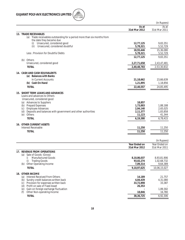

|                                                                                  |                        | (In Rupees)                |
|----------------------------------------------------------------------------------|------------------------|----------------------------|
|                                                                                  | As at<br>31st Mar 2012 | As at<br>31st Mar 2011     |
| 13. TRADE RECEIVABLES                                                            |                        |                            |
| Trade receivables outstanding for a period more than six months from<br>(a)      |                        |                            |
| the date they became due                                                         |                        |                            |
| Unsecured, considered good<br>(i)<br>Unsecured, considered doubtful<br>(ii)      | 12,77,125<br>5,78,321  | 9,83,351<br>5,52,729       |
|                                                                                  | 18,55,446              | 15,36,080                  |
| Less: Provision for Doubtful Debts                                               | 5,78,321               | 5,52,729                   |
|                                                                                  | 12,77,125              | 9,83,351                   |
| (b) Others                                                                       |                        |                            |
| Unsecured, considered good<br><b>TOTAL</b>                                       | 2,27,71,658            | 2,43,47,481<br>2,53,30,832 |
|                                                                                  | 2,40,48,783            |                            |
| <b>14. CASH AND CASH EQUIVALENTS</b>                                             |                        |                            |
| (a) Balances with Banks                                                          |                        |                            |
| In Current Accounts                                                              | 21,18,662              | 23,66,639                  |
| (b) Cash On Hand                                                                 | 1,21,895               | 1,18,856                   |
| <b>TOTAL</b>                                                                     | 22,40,557              | 24,85,495                  |
| 15. SHORT TERM LOANS AND ADVANCES                                                |                        |                            |
| Loans and advances to Others                                                     |                        |                            |
| Unsecured, considered good                                                       |                        |                            |
| (a) Advances to Suppliers<br>(b) Prepaid Expenses                                | 18,857<br>1,73,883     | 1,88,188                   |
| (c) Employee Advances                                                            | 2,04,140               | 2,65,025                   |
| Deposits and balances with government and other authorities<br>(d)               | 2,11,377               | 1,83,858                   |
| (e)<br>Others                                                                    | 11,123                 | 41,344                     |
| <b>TOTAL</b>                                                                     | 6,19,380               | 6,78,415                   |
| <b>16. OTHER CURRENT ASSETS</b>                                                  |                        |                            |
| Interest Receivable                                                              | 11,250                 | 11,250                     |
| <b>TOTAL</b>                                                                     | 11,250                 | 11,250                     |
|                                                                                  |                        |                            |
|                                                                                  |                        | (In Rupees)                |
|                                                                                  | Year Ended on          | Year Ended on              |
|                                                                                  | 31st Mar 2012          | 31st Mar 2011              |
| 17. REVENUE FROM OPERATIONS                                                      |                        |                            |
| Sale of Goods (Gross)<br>(a)<br>i) Manufactured Goods                            | 8,10,86,037            | 8,93,81,906                |
| <b>Trading Goods</b><br>ii)                                                      | 93,02,274              | 1,02,68,732                |
| (b) Other Operating Income                                                       | 7,09,314               | 9,64,389                   |
| <b>TOTAL</b>                                                                     | 9,10,97,625            | 10,06,15,027               |
|                                                                                  |                        |                            |
| 18. OTHER INCOME<br>(a) Interest Received From Others                            | 14,189                 | 21,757                     |
| (b) Sundry credit balances written back                                          | 4,04,439               | 4,31,080                   |
| (c) Provision for expenses written back                                          | 33,72,898              | 33,387                     |
| (d) Profit on sale of Fixed Asset                                                | 26,353                 |                            |
| Gain on foreign exchange fluctuation<br>(e)<br>Other Non-operating Income<br>(f) | 18,846                 | 1,89,302<br>16,780         |
| <b>TOTAL</b>                                                                     | 38, 36, 725            | 6,92,306                   |
|                                                                                  |                        |                            |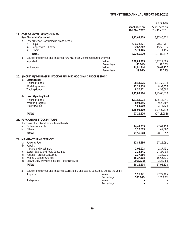|     |          |                                                                                     |                     |                                | (In Rupees)                    |
|-----|----------|-------------------------------------------------------------------------------------|---------------------|--------------------------------|--------------------------------|
|     |          |                                                                                     |                     | Year Ended on<br>31st Mar 2012 | Year Ended on<br>31st Mar 2011 |
|     |          | 19. COST OF MATERIALS CONSUMED                                                      |                     |                                |                                |
|     |          | <b>Raw Materials Consumed</b>                                                       |                     | 3,72,65,529                    | 3,97,80,412                    |
|     | a.       | Raw Materials Consumed in broad heads:<br>i)<br>Chips                               |                     | 2,84,28,821                    | 3,20,49,701                    |
|     |          | ii)<br>Copper wire & Epoxy                                                          |                     | 52,62,262                      | 45,59,516                      |
|     |          | iii)<br>Others                                                                      |                     | 35,74,446                      | 31,71,195                      |
|     |          | <b>TOTAL</b>                                                                        |                     | 3,72,65,529                    | 3,97,80,412                    |
|     | b.       | Value of Indigenous and Imported Raw Materials Consumed during the year:            |                     |                                |                                |
|     |          | Imported                                                                            | Value               | 2,98,63,985                    | 3, 17, 12, 695                 |
|     |          |                                                                                     | Percentage          | 80.14%                         | 79.72%                         |
|     |          | Indigenous                                                                          | Value<br>Percentage | 74,01,544<br>19.86%            | 80,67,717<br>20.28%            |
| 20. |          | (INCREASE)/DECREASE IN STOCK OF FINISHED GOODS AND PROCESS STOCK                    |                     |                                |                                |
|     |          | (a) Closing Stock                                                                   |                     |                                |                                |
|     |          | <b>Finished Goods</b><br>Work-in-progress                                           |                     | 98,41,975<br>11,12,558         | 1,31,53,974<br>8,94,356        |
|     |          | <b>Trading Goods</b>                                                                |                     | 8,30,571                       | 4,58,000                       |
|     |          |                                                                                     |                     | 1,17,85,104                    | 1,45,06,330                    |
|     |          | (b) Less: Opening Stock                                                             |                     |                                |                                |
|     |          | <b>Finished Goods</b>                                                               |                     | 1,31,53,974                    | 1,05,15,041                    |
|     |          | Work-in-progress<br><b>Trading Goods</b>                                            |                     | 8,94,356<br>4,58,000           | 9,28,507<br>3,48,824           |
|     |          |                                                                                     |                     | 1,45,06,330                    | 1, 17, 92, 372                 |
|     |          | <b>TOTAL</b>                                                                        |                     | 27,21,226                      | (27, 13, 958)                  |
|     |          |                                                                                     |                     |                                |                                |
|     |          | 21. PURCHASE OF STOCK-IN-TRADE                                                      |                     |                                |                                |
|     |          | Purchase of stock-in-trade in broad heads:                                          |                     |                                |                                |
|     | a.<br>b. | Tantalum capacitor<br>Others                                                        |                     | 74,44,035<br>3,12,613          | 77,61,150<br>49,507            |
|     |          | <b>TOTAL</b>                                                                        |                     | 77,56,648                      | 78,10,657                      |
|     |          |                                                                                     |                     |                                |                                |
|     |          | 22. MANUFACTURING EXPENSES                                                          |                     |                                |                                |
|     | (a)      | Power & Fuel                                                                        |                     | 17,85,686                      | 17,25,991                      |
|     | (b)      | Repairs<br>Plant and Machinery                                                      |                     | 2,01,973                       | 2,17,431                       |
|     | (C)      | Stores, Spares and Tools Consumed                                                   |                     | 1,26,341                       | 27,27,495                      |
|     | (d)      | Packing Material Consumed                                                           |                     | 1,37,986                       | 1,34,911                       |
|     | (e)      | Wages & Labour Charges                                                              |                     | 18,27,938                      | 16,66,811                      |
|     | (f)      | Cenvat Duty provided on stock (Refer Note 28)                                       |                     | (2,68,720)                     | 3,22,489                       |
|     |          | <b>TOTAL</b>                                                                        |                     | 38,11,204                      | 67,95,128                      |
|     | а.       | Value of Indigenous and Imported Stores, Tools and Spares Consumed during the year: |                     |                                |                                |
|     |          | Imported                                                                            | Value               | 1,26,341                       | 27,27,495                      |
|     |          |                                                                                     | Percentage          | 100.00%                        | 100.00%                        |
|     |          | Indigenous                                                                          | Value<br>Percentage |                                |                                |
|     |          |                                                                                     |                     |                                |                                |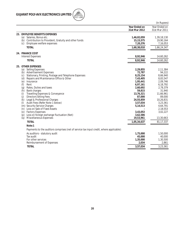

|                                                                                                                                                                                                                                                                                                                                                                                                                                                                                                                                                                                                                                                                                                        |                                                                                                                                                                                                            | (In Rupees)                                                                                                                                                                                              |
|--------------------------------------------------------------------------------------------------------------------------------------------------------------------------------------------------------------------------------------------------------------------------------------------------------------------------------------------------------------------------------------------------------------------------------------------------------------------------------------------------------------------------------------------------------------------------------------------------------------------------------------------------------------------------------------------------------|------------------------------------------------------------------------------------------------------------------------------------------------------------------------------------------------------------|----------------------------------------------------------------------------------------------------------------------------------------------------------------------------------------------------------|
|                                                                                                                                                                                                                                                                                                                                                                                                                                                                                                                                                                                                                                                                                                        | Year Ended on<br>31st Mar 2012                                                                                                                                                                             | Year Ended on<br>31st Mar 2011                                                                                                                                                                           |
| 23. EMPLOYEE BENEFITS EXPENSES<br>Salaries, Bonus etc.<br>(a)<br>Contribution to Provident, Gratuity and other funds<br>(b)<br>Employee welfare expenses<br>(c)<br><b>TOTAL</b>                                                                                                                                                                                                                                                                                                                                                                                                                                                                                                                        | 1,46,02,059<br>15, 15, 575<br>7,20,376<br>1,68,38,010                                                                                                                                                      | 1,39,18,130<br>19,90,164<br>7,16,053<br>1,66,24,347                                                                                                                                                      |
| 24. FINANCE COST<br><b>Interest Expenses</b><br><b>TOTAL</b>                                                                                                                                                                                                                                                                                                                                                                                                                                                                                                                                                                                                                                           | 8,92,946<br>8,92,946                                                                                                                                                                                       | 14,60,262<br>14,60,262                                                                                                                                                                                   |
| 25. OTHER EXPENSES<br><b>Selling Expenses</b><br>(a)<br><b>Advertisement Expenses</b><br>(b)<br>Stationary, Printing, Postage and Telephone Expenses<br>(c)<br>Repairs and Maintenance Office & Other<br>(d)<br>(e) Insurance<br>(f)<br>Rent<br>Rates, Duties and taxes<br>(g)<br><b>Bank charges</b><br>(h)<br>Travelling Expenses & Conveyance<br>(i)<br><b>Directors Sitting Fees</b><br>(j)<br>Legal & Professional Charges<br>(k)<br>Audit Fees (Refer Note 1 below)<br>(1)<br>(m) Security Service Charges<br>(n) Loss on Sale of Fixed Assets<br><b>Factory Expenses</b><br>(0)<br>Loss on foreign exchange fluctuation (Net)<br>(p)<br>Miscellaneous Expenses<br>(q)<br><b>TOTAL</b><br>Note:1 | 2,29,855<br>72,787<br>8,25,154<br>7,43,405<br>1,95,441<br>6,97,161<br>2,60,692<br>59,815<br>13,76,321<br>87,000<br>24,55,859<br>3,57,034<br>5, 14, 513<br>3,43,053<br>3,62,586<br>19,53,961<br>1,05,34,637 | 2,11,384<br>94,222<br>8,66,940<br>8,83,547<br>2,09,746<br>6,18,792<br>2,78,379<br>31,940<br>11,66,961<br>89,000<br>10,26,831<br>3,23,361<br>4,64,791<br>2,18,553<br>3,02,227<br>13,30,663<br>81, 17, 337 |
| As auditors - statutory audit<br>Tax audit<br>For other services<br>Reimbursement of Expenses<br><b>TOTAL</b>                                                                                                                                                                                                                                                                                                                                                                                                                                                                                                                                                                                          | Payments to the auditors comprises (net of service tax input credit, where applicable):<br>1,75,000<br>45,000<br>1,35,000<br>2,034<br>3,57,034                                                             | 1,50,000<br>40,000<br>1,30,500<br>2,861<br>3,23,361                                                                                                                                                      |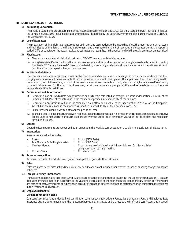## **(I) SIGNIFICANT ACCOUNTING POLICIES**

## **1) Accounting Convention:**

The financial statements are prepared under the historical cost convention on accrual basis in accordance with the requirements of the Companies Act, 1956, including the accounting standards notified by the Central Government of India under Section 211(3C) of the Companies Act, 1956.

## **2) Use of Estimates:**

The preparation of financial statements requires estimates and assumptions to be made that affect the reported amount of assets and liabilities as on the date of the financial statements and the reported amount of revenues and expenses during the reporting period. Difference between the actual results and estimates are recognized in the period in which the results are known/materialized.

## **3) Fixed Assets:**

- (a) Fixed assets are stated at historical cost net of CENVAT, less accumulated depreciation.
- (b) Intangible assets: Certain technical know how costs are capitalised and recognised as Intangible assets in terms of Accounting Standard – 26 " Intangible Assets" based on materiality, accounting prudence and significant economic benefits expected to flow there from for a period longer than one year.

## **4) Impairment of Assets**

The Company evaluates impairment losses on the fixed assets whenever events or changes in circumstances indicate that their carrying amounts may not be recoverable. If such assets are considered to be impaired, the impairment loss is then recognized for the amount by which the carrying amount of the assets exceeds its recoverable amount, which is the higher of an asset's net selling price and value in use. For the purpose of assessing impairment, assets are grouped at the smallest levels for which there are separately identifiable cash flows.

## **5) Depreciation and Amortisation:**

- (i) Depreciation on all Fixed assets except furniture and fixtures is calculated on straight line basis under section 205(2)(a) of the Companies Act,1956 at the rates and in the manner as specified in schedule XIV of the said Act.
- (ii) Depreciation on furniture & fixtures is calculated on written down value basis under section 205(2)(a) of the Companies Act,1956 at the rates and in the manner as specified in schedule XIV of the Companies Act,1956.
- (iii) Cost of leasehold land is written off over the period of lease.
- (iv) Intangible asset like Technical Knowhow in respect of Technical Documentation Information and process technology and exclusive license used to manufacture products is amortised over the useful life of seventeen years like the life of plant and machinery for which it is used.

## **6) Leases:**

Operating lease payments are recognized as an expense in the Profit & Loss account on a straight line basis over the lease term.

## **7) Inventories:**

Inventories are valued as under:

| Darramıza maaammiklamı              |                                                                          |
|-------------------------------------|--------------------------------------------------------------------------|
| d. – Process Stock-                 | $\therefore$ At material cost.                                           |
|                                     | using absorption costing method.                                         |
| c Finished Goods                    | : At cost or net realizable value whichever is lower. Cost is calculated |
| b. Raw Material & Packing Materials | : At cost (FIFO Basis)                                                   |
| a. Stores                           | : At cost (FIFO Basis)                                                   |

## **8) Revenue recognition:**

Revenue from sale of products is recognized on dispatch of goods to the customers.

## **9) Sales:**

Sales are stated net of discount and inclusive of excise duty and do not include other recoveries such as handling charges, transport, octroi etc.

## **10) Foreign Currency Transactions:**

Transactions denominated in foreign currency are recorded at the exchange rates prevailing at the time of the transaction. Monetary items denominated in foreign currencies at the year end are restated at the year end rates. Non monetary foreign currency items are carried at cost. Any income or expenses on account of exchange difference either on settlement or on translation is recognized in the Profit and Loss Account.

## **11) Employees Benefits:**

## **Defined contribution plans**

Company's contributions under defined contribution schemes such as Provident Funds, Superannuation Fund and Employee State Insurance etc. are determined under the relevant schemes and/or statute and charged to the Profit and Loss Account as incurred.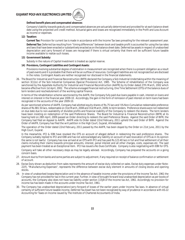

## **Defined benefit plans and compensated absences**

Company's liability towards gratuity and compensated absences are actuarially determined and provided for at each balance sheet date using the projected unit credit method. Actuarial gains and losses are recognized immediately in the Profit and Loss Account as income or expenses.

## **12) Taxation:**

**Current Tax:** Provision for current tax is made in accordance with the Income Tax laws prevailing for the relevant assessment year. **Deferred Tax:** Deferred tax resulting from "timing differences" between book and taxable profit is accounted for using the tax rates and laws that have been enacted or substantively enacted as on the balance sheet date. Deferred tax assets in respect of unabsorbed depreciation and carry forward of losses are recognized if there is virtual certainty that there will be sufficient future taxable income available to realize such losses.

## **13) Government Subsidy:**

Subsidy in the nature of Capital Investment is treated as capital reserve.

## **14) Provisions, Contingent Liabilities and Contingent Assets:**

Provisions involving substantial degree of estimation in measurement are recognized when there is a present obligation as a result of past events and it is probable that there will be an outflow of resources. Contingent liabilities are not recognized but are disclosed in the notes. Contingent Assets are neither recognized nor disclosed in the financial statements.

26. The Board for Industrial and Financial Reconstruction (BIFR) declared the Company a Sick Industrial Undertaking within the meaning of section 3(1)(o) of the Sick Industrial Companies (Special Provisions) Act, 1985. The Scheme of rehabilitation of the Company was sanctioned by the Appellate Authority for Industrial and Financial Reconstruction (AAIFR) by its Order dated 27th March, 2002 which became effective from 1st April, 2002. The scheme envisaged financial restructuring, One Time Settlement (OTS) of the balance dues of term lenders and reschedulement of the working capital finance.

In terms of the rehabilitation scheme sanctioned by the AAIFR, the Company fully paid due loans payable in cash, interest on loans and interest on interest in the financial year 2009-10. Accordingly, the gain in the form of remission of past interest on term loans had been recognized in the accounts of the year 2009-10.

As per sanctioned scheme of AAIFR, Company had allotted equity shares of Rs.75 lacs and ½% Non-Cumulative redeemable preference shares of Rs.981.50 lacs, redeemable on 31st March, 2008 and 31st March, 2009, to term lenders. Preference shares were not redeemed on due date due to non-availability of divisible profits and financial inability of the Company to redeem the shares. The term lenders have been insisting on redemption of the said Preference Shares. The Board for Industrial & Financial Reconstruction (BIFR) at its hearing held on 28th April, 2009 passed an Order directing to redeem the said Preference Shares. Against the said Order of BIFR, the Company had filed an Appeal to AAIFR. AAIFR vide its Order dated 22nd February, 2011 upheld the said Order of BIFR. Against the Order of AAIFR, Company has filed the writ petition in the High Court, Gujarat, Ahmedabad.

The operation of the Order dated 22nd February, 2011 passed by the AAIFR, has been stayed by the Order on 21st June, 2011 by the High Court, Gujarat.

In the meanwhile, IFCI & IDBI have revoked the OTS on account of alleged default in redeeming the said preference shares. The Company suitably replied to IFCI and IDBI and has not acknowledged any liability on account of said revocation of OTS as in its opinion the same is not lawful. Company has now arrived at an OTS with IFCI and has paid Rs.123.40 lacs in full and final settlement of all their claims including their claims towards principal amounts, interest, penal interest and all other charges, costs, expenses etc. The said payment has been treated as an Exceptional item. IFCI has issued a No Dues Certificate. Company is also negotiating with IDBI for OTS.

Company will take all other necessary steps as may be legally advised. Accordingly, Company has prepared the accounts on a going concern basis.

- 27. Amount due to/from banks and some parties are subject to adjustment, if any required on receipt of balance confirmation or settlement of account.
- 28. Excise Duty shown as deduction from sales represents the amount of excise duty collected on sales. Excise duty expenses under Note-22(f), "Manufacturing Expenses", represents the difference between excise duty element in amounts of closing stocks and opening stocks.
- 29. In view of unabsorbed losses/depreciation and in the absence of taxable income under the provisions of the Income Tax Act, 1961 the Company has not provided for tax in the current year. Further, in view of brought forward loss/unabsorbed depreciation as per books of accounts, the Company also does not have tax liability under section 115JB of the Income tax Act, 1961. Accordingly no provision for income tax has been made in the accounts under Income Tax Act, 1961.
- 30. The Company has unabsorbed depreciation/carry forward of losses of the earlier years under Income Tax laws. In absence of virtual certainty of sufficient future taxable income, Deferred Tax Asset has not been recognized by way of prudence in accordance with AS-22 Accounting for Taxes on Income issued by The Institute of Chartered Accountants of India.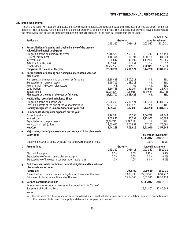## **31. Employee benefits:**

The accruing liability on account of gratuity and leave encashment is accounted as per Accounting Standard 15 (revised 2005) "Employee Benefits". The Company has defined benefit plans for gratuity to eligible employees. The Company also provides leave encashment to the employees. The details of these defined benefit plans recognised in the financial statements are as under:

|    |                                                                                                                                                                                                                                 |                                                                       |                                                                    |                                                                             | Amount (Rs.)                                                  |
|----|---------------------------------------------------------------------------------------------------------------------------------------------------------------------------------------------------------------------------------|-----------------------------------------------------------------------|--------------------------------------------------------------------|-----------------------------------------------------------------------------|---------------------------------------------------------------|
|    | <b>Particulars</b>                                                                                                                                                                                                              |                                                                       | Gratuity                                                           |                                                                             | Leave Encashment                                              |
|    |                                                                                                                                                                                                                                 | 2011-12                                                               | 2010-11                                                            | 2011-12                                                                     | 2010-11                                                       |
| a. | Reconciliation of opening and closing balance of the present<br>value defined benefit obligation                                                                                                                                |                                                                       |                                                                    |                                                                             |                                                               |
|    | Obligation at the beginning of the year<br><b>Current Service Cost</b><br><b>Interest Cost</b><br>Actuarial (Gain) / Loss<br><b>Benefits Paid</b>                                                                               | 25,10,521<br>1,16,394<br>2,00,842<br>1,55,647<br>(1, 25, 204)         | 17,51,149<br>1,16,394<br>1,40,092<br>6,01,851<br>(98, 965)         | 13,81,217<br>1,00,738<br>1,13,950<br>57,252<br>(38, 949)                    | 11,52,444<br>84,648<br>96.805<br>76,092<br>(28, 773)          |
|    | Obligation at the end of the year                                                                                                                                                                                               | 28,58,200                                                             | 25,10,521                                                          | 16,14,208                                                                   | 13,81,216                                                     |
| b. | Reconciliation of opening and closing balances of fair value of<br>plan assets                                                                                                                                                  |                                                                       |                                                                    |                                                                             |                                                               |
|    | Plan assets at the beginning of the year, at fair value<br>Expected return on plan assets<br>Actuarial Gain / (Loss) on plan Assets<br>Contribution<br><b>Benefits Paid</b><br>Plan Assets at the end of the year at fair value | 18,38,428<br>2,28,715<br>NIL<br>8,10,768<br>(1, 25, 204)<br>27,52,707 | 16,07,511<br>1,48,718<br>NIL<br>1,81,164<br>(98, 965)<br>18,38,428 | <b>NIL</b><br><b>NIL</b><br><b>NIL</b><br>38,949<br>(38, 949)<br><b>NIL</b> | <b>NIL</b><br>NIL<br><b>NIL</b><br>28,773<br>(28, 773)<br>NIL |
| c. | Net Liability recognised in Balance Sheet                                                                                                                                                                                       |                                                                       |                                                                    |                                                                             |                                                               |
|    | Obligation at the end of the year<br>Less: Plan assets at the end of the year at fair value<br>Liability recognised in Balance Sheet as at year end                                                                             | 28,58,200<br>27,52,707<br>1,05,493                                    | 25,10,521<br>18,38,428<br>6,72,093                                 | 16,14,208<br><b>NIL</b><br>16,14,208                                        | 13,81,216<br>NIL<br>13,81,216                                 |
| d. | Components of employer expenses for the year                                                                                                                                                                                    |                                                                       |                                                                    |                                                                             |                                                               |
|    | Current service cost<br>Interest cost<br>Expected return on plan assets<br>Net Actuarial (gain) / loss<br><b>Net Cost</b>                                                                                                       | 1,16,394<br>2,00,842<br>(2, 28, 715)<br>1,55,647<br>2,44,168          | 1,16,394<br>1,40,092<br>(1, 48, 718)<br>6,01,851<br>7,09,619       | 1,00,738<br>1,13,950<br>NIL<br>57,252<br>2,71,940                           | 84,648<br>96,805<br>NIL<br>76,092<br>2,57,545                 |
| е. | Major categories of plan assets as a percentage of total plan assets:                                                                                                                                                           |                                                                       |                                                                    |                                                                             |                                                               |
|    | Description                                                                                                                                                                                                                     |                                                                       |                                                                    | 2011-2012                                                                   | Percentage Investment<br>2010-2011                            |
|    | Qualifying insurance policy with Life Insurance Corporation of India                                                                                                                                                            |                                                                       |                                                                    | 100%                                                                        | 100%                                                          |
| f. | <b>Assumptions</b>                                                                                                                                                                                                              |                                                                       | Gratuity                                                           |                                                                             | Leave Encashment                                              |
|    |                                                                                                                                                                                                                                 | 2011-12                                                               | 2010-11                                                            | 2011-12                                                                     | 2010-11                                                       |
|    | Discount Rate (p.a)<br>Expected rate of return on op plan assets (p.a)<br>Expected rate of increase in compensation levels (p.a)                                                                                                | 8.0%<br>$0.0\%$<br>4.0%                                               | 8.0%<br>$0.0\%$<br>4.0%                                            | 8.75%<br>$0.0\%$<br>6.0%                                                    | 8.4%<br>0.0%<br>6.0%                                          |
| g. | Past three years data for defined benefit obligation and fair value of<br>plan assets are as under                                                                                                                              |                                                                       |                                                                    |                                                                             |                                                               |
|    | <b>Particulars</b><br>Present value of defined benefit obligations at the end of the year<br>Fair value of plan assets at the end of the year                                                                                   |                                                                       | 2008-09<br>23,77,795<br>15,54,266                                  | 2009-10<br>29,03,593<br>16,07,511                                           | 2010-11<br>38,91,737<br>18,38,428                             |
| h. | <b>Defined Contributions Plans</b>                                                                                                                                                                                              |                                                                       |                                                                    | 2011-2012                                                                   | 2010-2011                                                     |
|    | Amount recognized as an expenses and included in Note 23(b) of<br>Statement of Profit and Loss                                                                                                                                  |                                                                       |                                                                    | 12,71,407                                                                   | 12,80,545                                                     |

Notes:

a) The estimate of future salary increase considered in actuarial valuation takes account of inflation, seniority, promotion and other relevant factors such as supply and demand in employment market.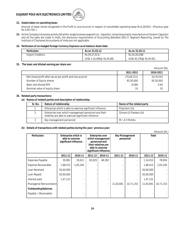

## **32. Assets taken on operating lease:**

Amount of lease rental recognized in the Profit & Loss Account in respect of cancellable operating lease Rs.6,28,041/- (Previous year Rs.5,49,720/-)

**33.** As the Company's business activity fall within single business segment viz. Capacitor, comprising mainly manufacture of Ceramic Capacitor and all the sales are made in India, the disclosure requirements of Accounting Standard (AS)-17 Segment Reporting, issued by The Institute of Chartered Accountants of India are not applicable.

## **34. Particulars of un-hedged Foreign Currency Exposure as at balance sheet date:**

| <b>Particulars</b> | As on 31.03.12            | As on 31.03.11          |
|--------------------|---------------------------|-------------------------|
| Import Creditors   | Rs.59,27,011/-            | Rs.20,26,038/-          |
|                    | (US\$ 1,16,490@ Rs.50.88) | (US\$ 45,376@ Rs.44.65) |

## **35. The basic and diluted earning per share are:**

**2011-2012 2010-2011** Net (loss)/profit after tax as per profit and loss account (75,04,311) 54,70,543 Number of Equity shares 85,50,000 85,50,000 85,50,000 85,50,000 85,50,000 85,50,000 85,50,000 85,50,000 85,50 Basic and diluted EPS 0.64 Nominal value of equity share 10 10

## **36. Related party transactions:**

## **(a) Names of related parties and description of relationship:**

| Sr. No. | Nature of relationship                                                                                       | Name of the related party |
|---------|--------------------------------------------------------------------------------------------------------------|---------------------------|
|         | Enterprise which is able to exercise significant influence                                                   | Polychem Ltd.             |
|         | Enterprise over which management personnel and their<br>relatives are able to exercise significant influence | Ginners & Pressers Ltd.   |
|         | Key management personnel                                                                                     | Mr A H Mehta              |

## **(b) Details of transactions with related parties during the year/ previous year:**

|                             |                                                                  |          |         |                                                                                                                                 |           |                                    |           | Amount (Rs.) |
|-----------------------------|------------------------------------------------------------------|----------|---------|---------------------------------------------------------------------------------------------------------------------------------|-----------|------------------------------------|-----------|--------------|
| <b>Particulars</b>          | Enterprise which is<br>able to exercise<br>significant influence |          |         | <b>Enterprise over</b><br>which management<br>personnel and<br>their relatives are<br>able to exercise<br>significant influence |           | <b>Key Management</b><br>personnel | Total     |              |
|                             | 2011-12                                                          | 2010-11  | 2011-12 | 2010-11                                                                                                                         | 2011-12   | 2010-11                            | 2011-12   | 2010-11      |
| <b>Expenses Payable</b>     | 30,981                                                           | 29,621   | 83,029  | 48,383                                                                                                                          |           | $\overline{\phantom{a}}$           | 1,14,010  | 78,004       |
| Expense Recoverable         | 1,88,415                                                         | 1,83,240 |         |                                                                                                                                 |           | $\overline{\phantom{a}}$           | 1,88,415  | 1,83,240     |
| Loan Received               | 50,00,000                                                        |          |         |                                                                                                                                 |           | $\overline{\phantom{a}}$           | 50,00,000 |              |
| Loan Repaid                 | 50,00,000                                                        |          |         |                                                                                                                                 |           | $\overline{\phantom{a}}$           | 50,00,000 |              |
| Interest paid               | 1,47,131                                                         |          |         |                                                                                                                                 |           |                                    | 1,47,131  |              |
| Managerial Remuneration     |                                                                  |          |         | ä,                                                                                                                              | 11,92,691 | 10,71,153                          | 11,92,691 | 10,71,153    |
| <b>Outstanding Balances</b> |                                                                  |          |         |                                                                                                                                 |           |                                    |           |              |
| Payable / (Receivable)      |                                                                  |          |         |                                                                                                                                 |           |                                    |           |              |

Amount (Rs)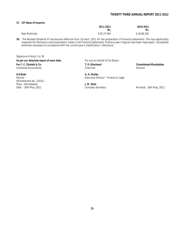## **37. CIF Value of Imports:**

|               | 2011-2012<br>Rs. | 2010-2011<br>Rs. |
|---------------|------------------|------------------|
| Raw Materials | 3.05.37.944      | 3,18,96,165      |

**38.** The Revised Schedule VI has become effective from 1st April, 2011 for the preparation of financial statements. This has significantly impacted the disclosure and presentation made in the financial statements. Previous year's figures have been regrouped / reclassified wherever necessary to correspond with the current year's classification / disclosure.

Signature to Note 1 to 38

As per our attached report of even date.<br>
For and on behalf of the Board

(Membership No. 33331) Place : Ahmedabad **J. M. Shah**

**For C. C. Chokshi & Co. T. R. Kilachand Chandrakant Khushaldas** Chartered Accountants Chairman Director

**H.P.Shah A. H. Mehta** Partner **Executive Director - Finance & Legal** 

Mumbai, 30th May, 2012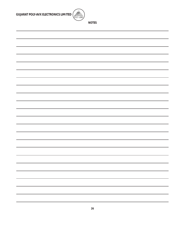

**NOTES**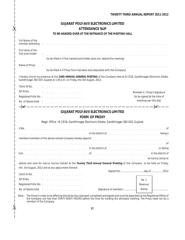|                                        |                                                                                                                                                                                                                                 | <b>TWENTY THIRD ANNUAL REPORT 2011-2012</b> |
|----------------------------------------|---------------------------------------------------------------------------------------------------------------------------------------------------------------------------------------------------------------------------------|---------------------------------------------|
|                                        | <b>GUJARAT POLY-AVX ELECTRONICS LIMITED</b>                                                                                                                                                                                     |                                             |
|                                        | <b>ATTENDANCE SLIP</b>                                                                                                                                                                                                          |                                             |
|                                        | TO BE HANDED OVER AT THE ENTRANCE OF THE MEETING HALL                                                                                                                                                                           |                                             |
| Full Name of the                       | member attending to account of the contract of the contract of the contract of the contract of the contract of                                                                                                                  |                                             |
| Full name of the<br>first joint-holder | e d'ar a de la deu de la deu de la deu de la deu de la deu de la deu de la deu de la deu de la deu de la deu d<br>(to be filled in if first named joint-holder does not attend the meeting)                                     |                                             |
| Name of Proxy                          | (to be filled in if Proxy Form has been duly deposited with the Company)                                                                                                                                                        |                                             |
|                                        | I hereby record my presence at the 23RD ANNUAL GENERAL MEETING of the Company held at B-17/18, Gandhinagar Electronic Estate,<br>Gandhinagar 382 024. Gujarat at 1.00 p.m. on Friday, the 3rd August, 2012.                     |                                             |
| Client ID No.                          | $\ddot{a}$ , and a set of the set of the set of the set of the set of the set of the set of the set of the set of the set of the set of the set of the set of the set of the set of the set of the set of the set of the set of |                                             |
| DP ID No.                              |                                                                                                                                                                                                                                 | Member's / Proxy's Signature                |
|                                        |                                                                                                                                                                                                                                 |                                             |
|                                        |                                                                                                                                                                                                                                 | (to be signed at the time of                |
|                                        |                                                                                                                                                                                                                                 | handing over this slip)                     |
|                                        | No. of Shares held $\therefore$                                                                                                                                                                                                 |                                             |
|                                        | <b>GUJARAT POLY-AVX ELECTRONICS LIMITED</b>                                                                                                                                                                                     |                                             |
|                                        |                                                                                                                                                                                                                                 |                                             |
|                                        | <b>FORM OF PROXY</b>                                                                                                                                                                                                            |                                             |
|                                        | Regd. Office: B-17/18, Gandhinagar Electronic Estate, Gandhinagar 382 024, Gujarat                                                                                                                                              |                                             |
|                                        |                                                                                                                                                                                                                                 |                                             |
|                                        | received a series and the district of the district of the district of the contract of the contract of the contract of the contract of the contract of the contract of the contract of the contract of the contract of the cont  |                                             |
|                                        | member/members of the above-named Company hereby appoint contained a series of the above-named Company hereby appoint                                                                                                           |                                             |
|                                        |                                                                                                                                                                                                                                 |                                             |
|                                        |                                                                                                                                                                                                                                 | or failing                                  |
|                                        | him enterpretered in the district of the contract of the contract of the contract of the contract of the district of                                                                                                            |                                             |
|                                        | as a series of the series of the series of the series of the series of the series of the series of the series o                                                                                                                 |                                             |
|                                        | attend and vote for me/us my/our behalf at the Twenty Third Annual General Meeting of the Company to be held on Friday,                                                                                                         |                                             |
|                                        | the 3rd August, 2012 and at any adjourment thereof.                                                                                                                                                                             |                                             |
| Client ID No.                          | distribution of the common common                                                                                                                                                                                               |                                             |
| DP ID No.                              | distribution of the contract of the contract of the contract of the contract of the contract of the contract of                                                                                                                 | Re. 1                                       |
|                                        |                                                                                                                                                                                                                                 | Revenue                                     |

the Company not less than FORTY EIGHT HOURS before the time for holding the aforesaid meeting. The Proxy need not be a member of the Company.

 $-36 -$